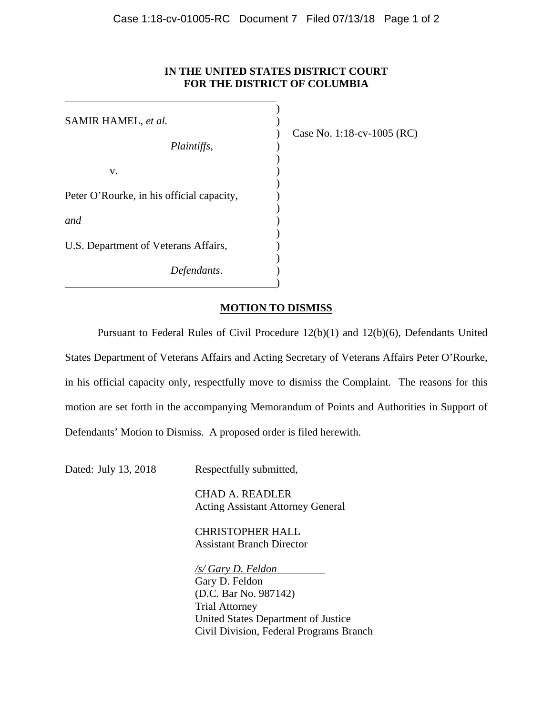## **IN THE UNITED STATES DISTRICT COURT FOR THE DISTRICT OF COLUMBIA**

| SAMIR HAMEL, et al.                       |  |
|-------------------------------------------|--|
| Plaintiffs,                               |  |
| V.                                        |  |
| Peter O'Rourke, in his official capacity, |  |
| and                                       |  |
| U.S. Department of Veterans Affairs,      |  |
| Defendants.                               |  |

 $\overline{a}$ 

) Case No. 1:18-cv-1005 (RC)

# **MOTION TO DISMISS**

Pursuant to Federal Rules of Civil Procedure 12(b)(1) and 12(b)(6), Defendants United States Department of Veterans Affairs and Acting Secretary of Veterans Affairs Peter O'Rourke, in his official capacity only, respectfully move to dismiss the Complaint. The reasons for this motion are set forth in the accompanying Memorandum of Points and Authorities in Support of Defendants' Motion to Dismiss. A proposed order is filed herewith.

Dated: July 13, 2018 Respectfully submitted,

 CHAD A. READLER Acting Assistant Attorney General

 CHRISTOPHER HALL Assistant Branch Director

 */s/ Gary D. Feldon*  Gary D. Feldon (D.C. Bar No. 987142) Trial Attorney United States Department of Justice Civil Division, Federal Programs Branch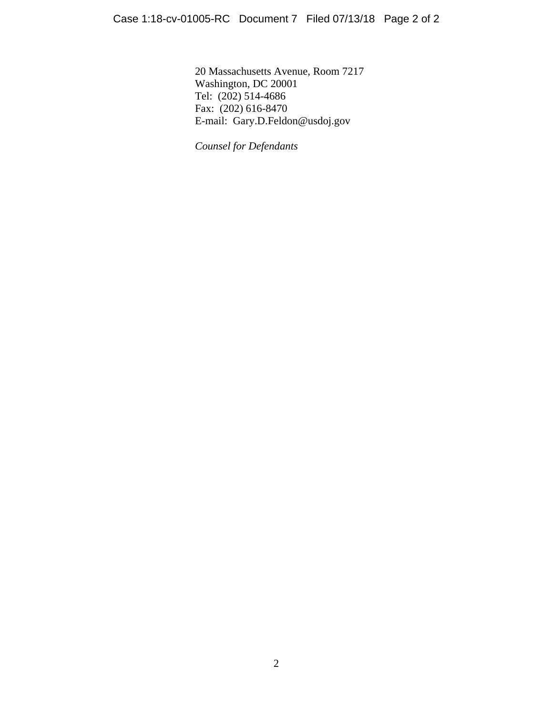20 Massachusetts Avenue, Room 7217 Washington, DC 20001 Tel: (202) 514-4686 Fax: (202) 616-8470 E-mail: Gary.D.Feldon@usdoj.gov

*Counsel for Defendants*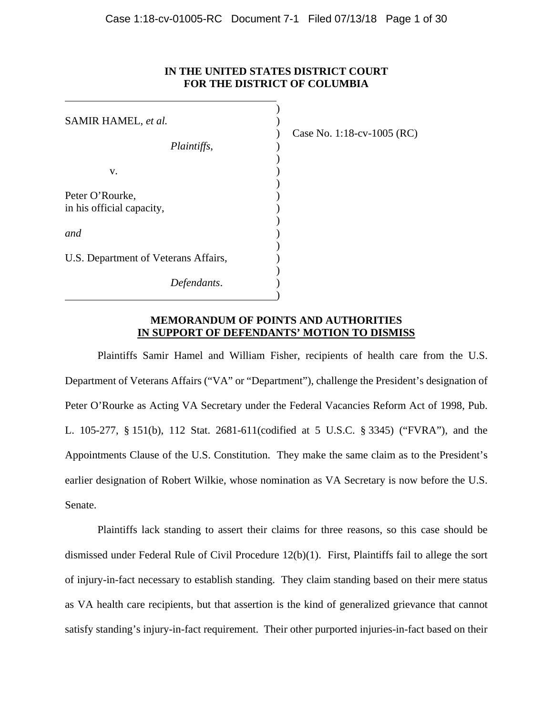## **IN THE UNITED STATES DISTRICT COURT FOR THE DISTRICT OF COLUMBIA**

| SAMIR HAMEL, et al.                  |  |
|--------------------------------------|--|
|                                      |  |
| Plaintiffs,                          |  |
| v.                                   |  |
| Peter O'Rourke,                      |  |
| in his official capacity,            |  |
| <i>and</i>                           |  |
| U.S. Department of Veterans Affairs, |  |
| Defendants.                          |  |

 $\overline{a}$ 

) Case No. 1:18-cv-1005 (RC)

### **MEMORANDUM OF POINTS AND AUTHORITIES IN SUPPORT OF DEFENDANTS' MOTION TO DISMISS**

Plaintiffs Samir Hamel and William Fisher, recipients of health care from the U.S. Department of Veterans Affairs ("VA" or "Department"), challenge the President's designation of Peter O'Rourke as Acting VA Secretary under the Federal Vacancies Reform Act of 1998, Pub. L. 105-277, § 151(b), 112 Stat. 2681-611(codified at 5 U.S.C. § 3345) ("FVRA"), and the Appointments Clause of the U.S. Constitution. They make the same claim as to the President's earlier designation of Robert Wilkie, whose nomination as VA Secretary is now before the U.S. Senate.

Plaintiffs lack standing to assert their claims for three reasons, so this case should be dismissed under Federal Rule of Civil Procedure 12(b)(1). First, Plaintiffs fail to allege the sort of injury-in-fact necessary to establish standing. They claim standing based on their mere status as VA health care recipients, but that assertion is the kind of generalized grievance that cannot satisfy standing's injury-in-fact requirement. Their other purported injuries-in-fact based on their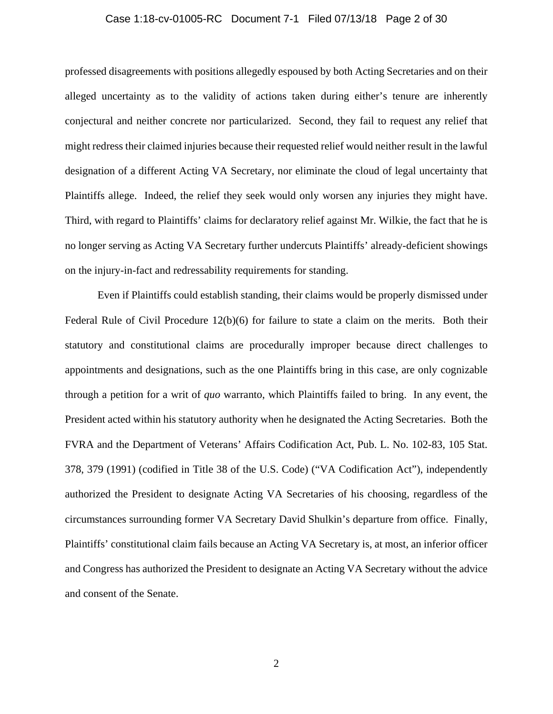#### Case 1:18-cv-01005-RC Document 7-1 Filed 07/13/18 Page 2 of 30

professed disagreements with positions allegedly espoused by both Acting Secretaries and on their alleged uncertainty as to the validity of actions taken during either's tenure are inherently conjectural and neither concrete nor particularized. Second, they fail to request any relief that might redress their claimed injuries because their requested relief would neither result in the lawful designation of a different Acting VA Secretary, nor eliminate the cloud of legal uncertainty that Plaintiffs allege. Indeed, the relief they seek would only worsen any injuries they might have. Third, with regard to Plaintiffs' claims for declaratory relief against Mr. Wilkie, the fact that he is no longer serving as Acting VA Secretary further undercuts Plaintiffs' already-deficient showings on the injury-in-fact and redressability requirements for standing.

Even if Plaintiffs could establish standing, their claims would be properly dismissed under Federal Rule of Civil Procedure 12(b)(6) for failure to state a claim on the merits. Both their statutory and constitutional claims are procedurally improper because direct challenges to appointments and designations, such as the one Plaintiffs bring in this case, are only cognizable through a petition for a writ of *quo* warranto, which Plaintiffs failed to bring. In any event, the President acted within his statutory authority when he designated the Acting Secretaries. Both the FVRA and the Department of Veterans' Affairs Codification Act, Pub. L. No. 102-83, 105 Stat. 378, 379 (1991) (codified in Title 38 of the U.S. Code) ("VA Codification Act"), independently authorized the President to designate Acting VA Secretaries of his choosing, regardless of the circumstances surrounding former VA Secretary David Shulkin's departure from office. Finally, Plaintiffs' constitutional claim fails because an Acting VA Secretary is, at most, an inferior officer and Congress has authorized the President to designate an Acting VA Secretary without the advice and consent of the Senate.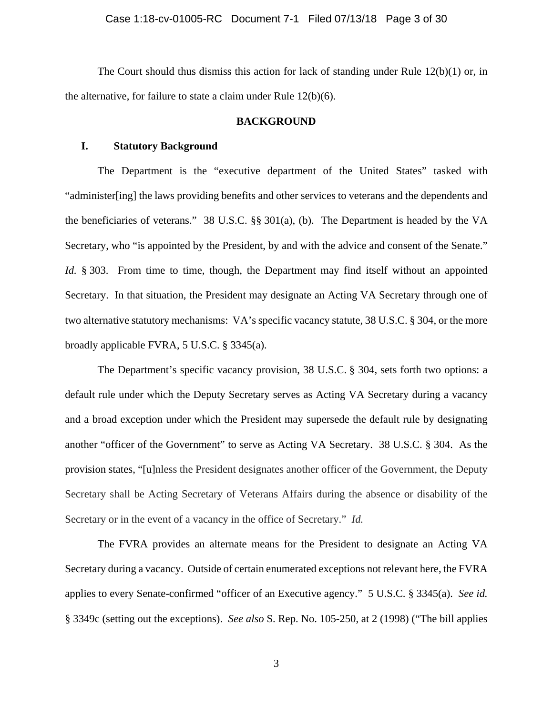The Court should thus dismiss this action for lack of standing under Rule 12(b)(1) or, in the alternative, for failure to state a claim under Rule 12(b)(6).

#### **BACKGROUND**

#### **I. Statutory Background**

The Department is the "executive department of the United States" tasked with "administer[ing] the laws providing benefits and other services to veterans and the dependents and the beneficiaries of veterans." 38 U.S.C. §§ 301(a), (b). The Department is headed by the VA Secretary, who "is appointed by the President, by and with the advice and consent of the Senate." *Id.* § 303. From time to time, though, the Department may find itself without an appointed Secretary. In that situation, the President may designate an Acting VA Secretary through one of two alternative statutory mechanisms: VA's specific vacancy statute, 38 U.S.C. § 304, or the more broadly applicable FVRA, 5 U.S.C. § 3345(a).

The Department's specific vacancy provision, 38 U.S.C. § 304, sets forth two options: a default rule under which the Deputy Secretary serves as Acting VA Secretary during a vacancy and a broad exception under which the President may supersede the default rule by designating another "officer of the Government" to serve as Acting VA Secretary. 38 U.S.C. § 304. As the provision states, "[u]nless the President designates another officer of the Government, the Deputy Secretary shall be Acting Secretary of Veterans Affairs during the absence or disability of the Secretary or in the event of a vacancy in the office of Secretary." *Id.*

The FVRA provides an alternate means for the President to designate an Acting VA Secretary during a vacancy. Outside of certain enumerated exceptions not relevant here, the FVRA applies to every Senate-confirmed "officer of an Executive agency." 5 U.S.C. § 3345(a). *See id.* § 3349c (setting out the exceptions). *See also* S. Rep. No. 105-250, at 2 (1998) ("The bill applies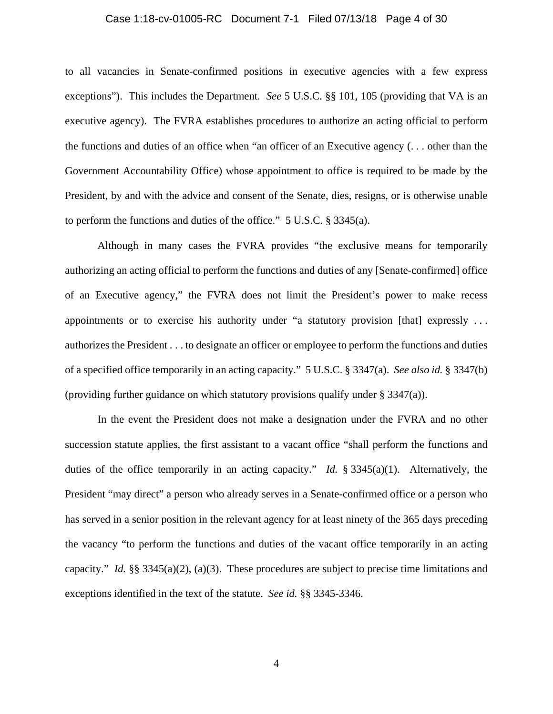#### Case 1:18-cv-01005-RC Document 7-1 Filed 07/13/18 Page 4 of 30

to all vacancies in Senate-confirmed positions in executive agencies with a few express exceptions"). This includes the Department. *See* 5 U.S.C. §§ 101, 105 (providing that VA is an executive agency). The FVRA establishes procedures to authorize an acting official to perform the functions and duties of an office when "an officer of an Executive agency (. . . other than the Government Accountability Office) whose appointment to office is required to be made by the President, by and with the advice and consent of the Senate, dies, resigns, or is otherwise unable to perform the functions and duties of the office." 5 U.S.C. § 3345(a).

Although in many cases the FVRA provides "the exclusive means for temporarily authorizing an acting official to perform the functions and duties of any [Senate-confirmed] office of an Executive agency," the FVRA does not limit the President's power to make recess appointments or to exercise his authority under "a statutory provision [that] expressly . . . authorizes the President . . . to designate an officer or employee to perform the functions and duties of a specified office temporarily in an acting capacity." 5 U.S.C. § 3347(a). *See also id.* § 3347(b) (providing further guidance on which statutory provisions qualify under § 3347(a)).

In the event the President does not make a designation under the FVRA and no other succession statute applies, the first assistant to a vacant office "shall perform the functions and duties of the office temporarily in an acting capacity." *Id.* § 3345(a)(1). Alternatively, the President "may direct" a person who already serves in a Senate-confirmed office or a person who has served in a senior position in the relevant agency for at least ninety of the 365 days preceding the vacancy "to perform the functions and duties of the vacant office temporarily in an acting capacity." *Id.* §§ 3345(a)(2), (a)(3). These procedures are subject to precise time limitations and exceptions identified in the text of the statute. *See id.* §§ 3345-3346.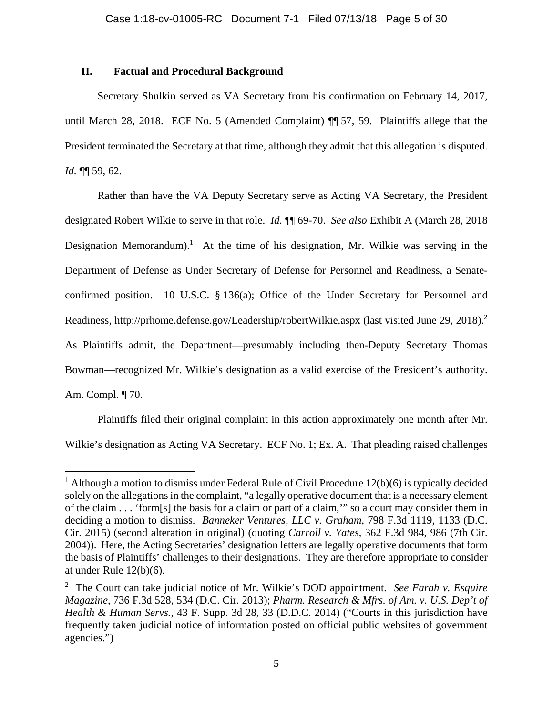### **II. Factual and Procedural Background**

 $\overline{\phantom{a}}$ 

Secretary Shulkin served as VA Secretary from his confirmation on February 14, 2017, until March 28, 2018. ECF No. 5 (Amended Complaint) ¶¶ 57, 59. Plaintiffs allege that the President terminated the Secretary at that time, although they admit that this allegation is disputed. *Id.* ¶¶ 59, 62.

Rather than have the VA Deputy Secretary serve as Acting VA Secretary, the President designated Robert Wilkie to serve in that role. *Id.* ¶¶ 69-70. *See also* Exhibit A (March 28, 2018 Designation Memorandum).<sup>1</sup> At the time of his designation, Mr. Wilkie was serving in the Department of Defense as Under Secretary of Defense for Personnel and Readiness, a Senateconfirmed position. 10 U.S.C. § 136(a); Office of the Under Secretary for Personnel and Readiness, http://prhome.defense.gov/Leadership/robertWilkie.aspx (last visited June 29, 2018).<sup>2</sup> As Plaintiffs admit, the Department—presumably including then-Deputy Secretary Thomas Bowman—recognized Mr. Wilkie's designation as a valid exercise of the President's authority. Am. Compl. ¶ 70.

Plaintiffs filed their original complaint in this action approximately one month after Mr. Wilkie's designation as Acting VA Secretary. ECF No. 1; Ex. A. That pleading raised challenges

<sup>&</sup>lt;sup>1</sup> Although a motion to dismiss under Federal Rule of Civil Procedure  $12(b)(6)$  is typically decided solely on the allegations in the complaint, "a legally operative document that is a necessary element of the claim . . . 'form[s] the basis for a claim or part of a claim,'" so a court may consider them in deciding a motion to dismiss. *Banneker Ventures, LLC v. Graham*, 798 F.3d 1119, 1133 (D.C. Cir. 2015) (second alteration in original) (quoting *Carroll v. Yates*, 362 F.3d 984, 986 (7th Cir. 2004)). Here, the Acting Secretaries' designation letters are legally operative documents that form the basis of Plaintiffs' challenges to their designations. They are therefore appropriate to consider at under Rule 12(b)(6).

<sup>2</sup> The Court can take judicial notice of Mr. Wilkie's DOD appointment. *See Farah v. Esquire Magazine*, 736 F.3d 528, 534 (D.C. Cir. 2013); *Pharm. Research & Mfrs. of Am. v. U.S. Dep't of Health & Human Servs.*, 43 F. Supp. 3d 28, 33 (D.D.C. 2014) ("Courts in this jurisdiction have frequently taken judicial notice of information posted on official public websites of government agencies.")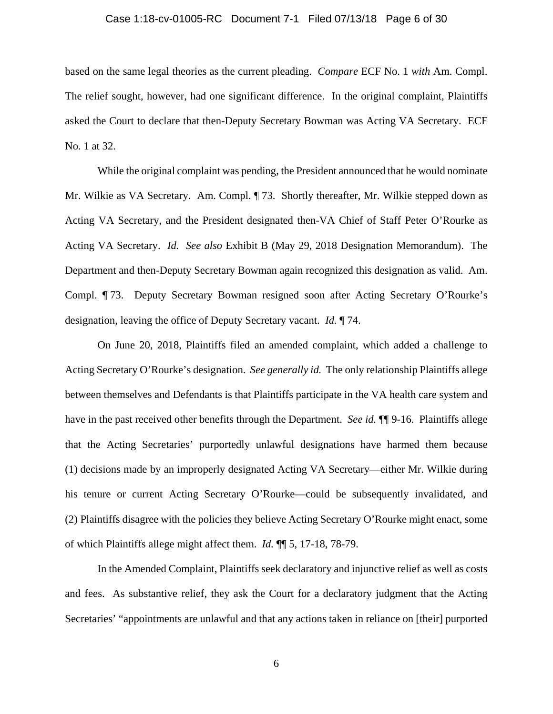#### Case 1:18-cv-01005-RC Document 7-1 Filed 07/13/18 Page 6 of 30

based on the same legal theories as the current pleading. *Compare* ECF No. 1 *with* Am. Compl. The relief sought, however, had one significant difference. In the original complaint, Plaintiffs asked the Court to declare that then-Deputy Secretary Bowman was Acting VA Secretary. ECF No. 1 at 32.

While the original complaint was pending, the President announced that he would nominate Mr. Wilkie as VA Secretary. Am. Compl. ¶ 73. Shortly thereafter, Mr. Wilkie stepped down as Acting VA Secretary, and the President designated then-VA Chief of Staff Peter O'Rourke as Acting VA Secretary. *Id. See also* Exhibit B (May 29, 2018 Designation Memorandum). The Department and then-Deputy Secretary Bowman again recognized this designation as valid. Am. Compl. ¶ 73. Deputy Secretary Bowman resigned soon after Acting Secretary O'Rourke's designation, leaving the office of Deputy Secretary vacant. *Id.* ¶ 74.

On June 20, 2018, Plaintiffs filed an amended complaint, which added a challenge to Acting Secretary O'Rourke's designation. *See generally id.* The only relationship Plaintiffs allege between themselves and Defendants is that Plaintiffs participate in the VA health care system and have in the past received other benefits through the Department. *See id.*  $\P\P$ 9-16. Plaintiffs allege that the Acting Secretaries' purportedly unlawful designations have harmed them because (1) decisions made by an improperly designated Acting VA Secretary—either Mr. Wilkie during his tenure or current Acting Secretary O'Rourke—could be subsequently invalidated, and (2) Plaintiffs disagree with the policies they believe Acting Secretary O'Rourke might enact, some of which Plaintiffs allege might affect them. *Id.* ¶¶ 5, 17-18, 78-79.

In the Amended Complaint, Plaintiffs seek declaratory and injunctive relief as well as costs and fees. As substantive relief, they ask the Court for a declaratory judgment that the Acting Secretaries' "appointments are unlawful and that any actions taken in reliance on [their] purported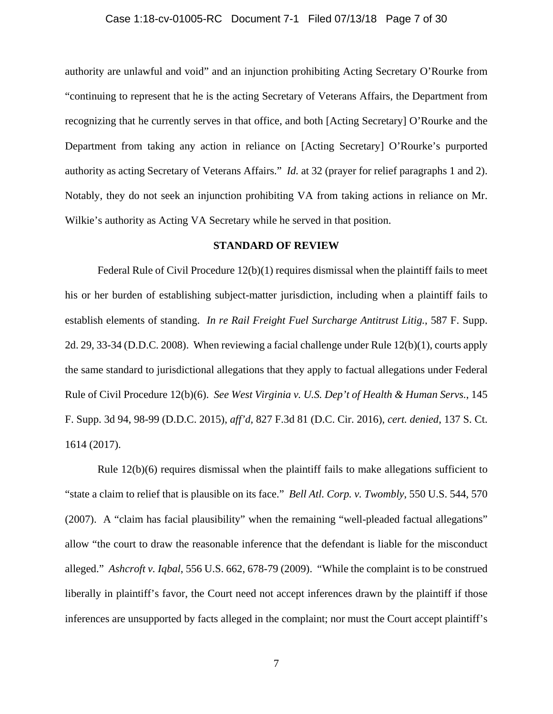#### Case 1:18-cv-01005-RC Document 7-1 Filed 07/13/18 Page 7 of 30

authority are unlawful and void" and an injunction prohibiting Acting Secretary O'Rourke from "continuing to represent that he is the acting Secretary of Veterans Affairs, the Department from recognizing that he currently serves in that office, and both [Acting Secretary] O'Rourke and the Department from taking any action in reliance on [Acting Secretary] O'Rourke's purported authority as acting Secretary of Veterans Affairs." *Id.* at 32 (prayer for relief paragraphs 1 and 2). Notably, they do not seek an injunction prohibiting VA from taking actions in reliance on Mr. Wilkie's authority as Acting VA Secretary while he served in that position.

#### **STANDARD OF REVIEW**

Federal Rule of Civil Procedure 12(b)(1) requires dismissal when the plaintiff fails to meet his or her burden of establishing subject-matter jurisdiction, including when a plaintiff fails to establish elements of standing. *In re Rail Freight Fuel Surcharge Antitrust Litig.*, 587 F. Supp. 2d. 29, 33-34 (D.D.C. 2008). When reviewing a facial challenge under Rule 12(b)(1), courts apply the same standard to jurisdictional allegations that they apply to factual allegations under Federal Rule of Civil Procedure 12(b)(6). *See West Virginia v. U.S. Dep't of Health & Human Servs.*, 145 F. Supp. 3d 94, 98-99 (D.D.C. 2015), *aff'd,* 827 F.3d 81 (D.C. Cir. 2016), *cert. denied*, 137 S. Ct. 1614 (2017).

Rule 12(b)(6) requires dismissal when the plaintiff fails to make allegations sufficient to "state a claim to relief that is plausible on its face." *Bell Atl. Corp. v. Twombly*, 550 U.S. 544, 570 (2007). A "claim has facial plausibility" when the remaining "well-pleaded factual allegations" allow "the court to draw the reasonable inference that the defendant is liable for the misconduct alleged." *Ashcroft v. Iqbal*, 556 U.S. 662, 678-79 (2009). "While the complaint is to be construed liberally in plaintiff's favor, the Court need not accept inferences drawn by the plaintiff if those inferences are unsupported by facts alleged in the complaint; nor must the Court accept plaintiff's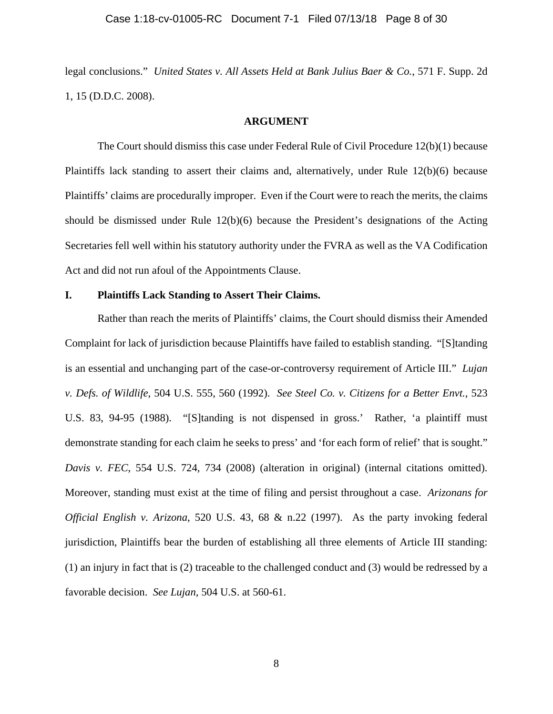legal conclusions." *United States v. All Assets Held at Bank Julius Baer & Co.*, 571 F. Supp. 2d 1, 15 (D.D.C. 2008).

#### **ARGUMENT**

The Court should dismiss this case under Federal Rule of Civil Procedure 12(b)(1) because Plaintiffs lack standing to assert their claims and, alternatively, under Rule 12(b)(6) because Plaintiffs' claims are procedurally improper. Even if the Court were to reach the merits, the claims should be dismissed under Rule 12(b)(6) because the President's designations of the Acting Secretaries fell well within his statutory authority under the FVRA as well as the VA Codification Act and did not run afoul of the Appointments Clause.

#### **I. Plaintiffs Lack Standing to Assert Their Claims.**

Rather than reach the merits of Plaintiffs' claims, the Court should dismiss their Amended Complaint for lack of jurisdiction because Plaintiffs have failed to establish standing. "[S]tanding is an essential and unchanging part of the case-or-controversy requirement of Article III." *Lujan v. Defs. of Wildlife*, 504 U.S. 555, 560 (1992). *See Steel Co. v. Citizens for a Better Envt.*, 523 U.S. 83, 94-95 (1988). "[S]tanding is not dispensed in gross.' Rather, 'a plaintiff must demonstrate standing for each claim he seeks to press' and 'for each form of relief' that is sought." *Davis v. FEC*, 554 U.S. 724, 734 (2008) (alteration in original) (internal citations omitted). Moreover, standing must exist at the time of filing and persist throughout a case. *Arizonans for Official English v. Arizona*, 520 U.S. 43, 68 & n.22 (1997). As the party invoking federal jurisdiction, Plaintiffs bear the burden of establishing all three elements of Article III standing: (1) an injury in fact that is (2) traceable to the challenged conduct and (3) would be redressed by a favorable decision. *See Lujan*, 504 U.S. at 560-61.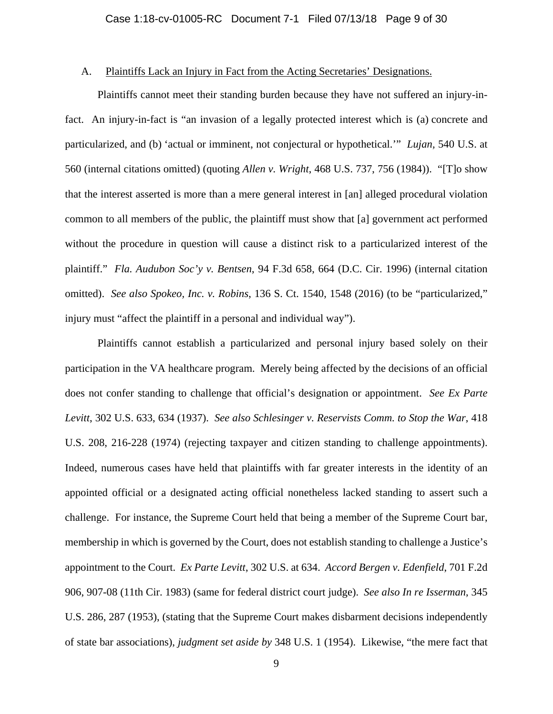## A. Plaintiffs Lack an Injury in Fact from the Acting Secretaries' Designations.

Plaintiffs cannot meet their standing burden because they have not suffered an injury-infact. An injury-in-fact is "an invasion of a legally protected interest which is (a) concrete and particularized, and (b) 'actual or imminent, not conjectural or hypothetical.'" *Lujan,* 540 U.S. at 560 (internal citations omitted) (quoting *Allen v. Wright*, 468 U.S. 737, 756 (1984)). "[T]o show that the interest asserted is more than a mere general interest in [an] alleged procedural violation common to all members of the public, the plaintiff must show that [a] government act performed without the procedure in question will cause a distinct risk to a particularized interest of the plaintiff." *Fla. Audubon Soc'y v. Bentsen*, 94 F.3d 658, 664 (D.C. Cir. 1996) (internal citation omitted). *See also Spokeo, Inc. v. Robins*, 136 S. Ct. 1540, 1548 (2016) (to be "particularized," injury must "affect the plaintiff in a personal and individual way").

Plaintiffs cannot establish a particularized and personal injury based solely on their participation in the VA healthcare program. Merely being affected by the decisions of an official does not confer standing to challenge that official's designation or appointment. *See Ex Parte Levitt*, 302 U.S. 633, 634 (1937). *See also Schlesinger v. Reservists Comm. to Stop the War*, 418 U.S. 208, 216-228 (1974) (rejecting taxpayer and citizen standing to challenge appointments). Indeed, numerous cases have held that plaintiffs with far greater interests in the identity of an appointed official or a designated acting official nonetheless lacked standing to assert such a challenge. For instance, the Supreme Court held that being a member of the Supreme Court bar, membership in which is governed by the Court, does not establish standing to challenge a Justice's appointment to the Court. *Ex Parte Levitt*, 302 U.S. at 634. *Accord Bergen v. Edenfield*, 701 F.2d 906, 907-08 (11th Cir. 1983) (same for federal district court judge). *See also In re Isserman*, 345 U.S. 286, 287 (1953), (stating that the Supreme Court makes disbarment decisions independently of state bar associations), *judgment set aside by* 348 U.S. 1 (1954). Likewise, "the mere fact that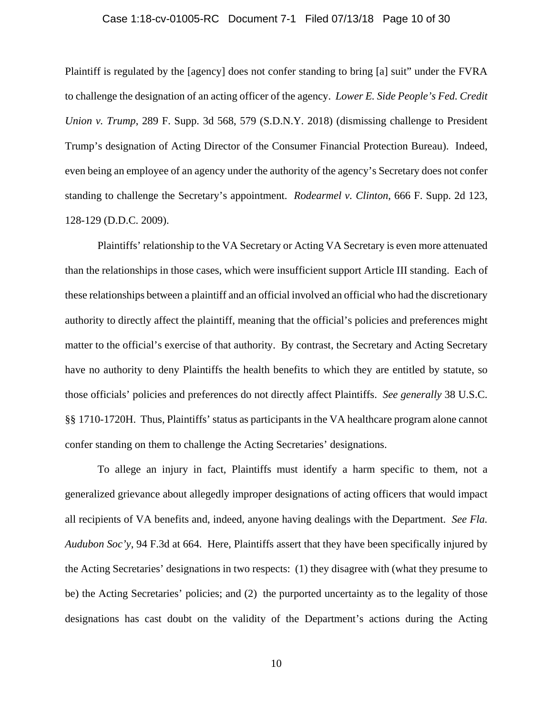#### Case 1:18-cv-01005-RC Document 7-1 Filed 07/13/18 Page 10 of 30

Plaintiff is regulated by the [agency] does not confer standing to bring [a] suit" under the FVRA to challenge the designation of an acting officer of the agency. *Lower E. Side People's Fed. Credit Union v. Trump*, 289 F. Supp. 3d 568, 579 (S.D.N.Y. 2018) (dismissing challenge to President Trump's designation of Acting Director of the Consumer Financial Protection Bureau). Indeed, even being an employee of an agency under the authority of the agency's Secretary does not confer standing to challenge the Secretary's appointment. *Rodearmel v. Clinton*, 666 F. Supp. 2d 123, 128-129 (D.D.C. 2009).

Plaintiffs' relationship to the VA Secretary or Acting VA Secretary is even more attenuated than the relationships in those cases, which were insufficient support Article III standing. Each of these relationships between a plaintiff and an official involved an official who had the discretionary authority to directly affect the plaintiff, meaning that the official's policies and preferences might matter to the official's exercise of that authority. By contrast, the Secretary and Acting Secretary have no authority to deny Plaintiffs the health benefits to which they are entitled by statute, so those officials' policies and preferences do not directly affect Plaintiffs. *See generally* 38 U.S.C. §§ 1710-1720H. Thus, Plaintiffs' status as participants in the VA healthcare program alone cannot confer standing on them to challenge the Acting Secretaries' designations.

To allege an injury in fact, Plaintiffs must identify a harm specific to them, not a generalized grievance about allegedly improper designations of acting officers that would impact all recipients of VA benefits and, indeed, anyone having dealings with the Department. *See Fla. Audubon Soc'y*, 94 F.3d at 664. Here, Plaintiffs assert that they have been specifically injured by the Acting Secretaries' designations in two respects: (1) they disagree with (what they presume to be) the Acting Secretaries' policies; and (2) the purported uncertainty as to the legality of those designations has cast doubt on the validity of the Department's actions during the Acting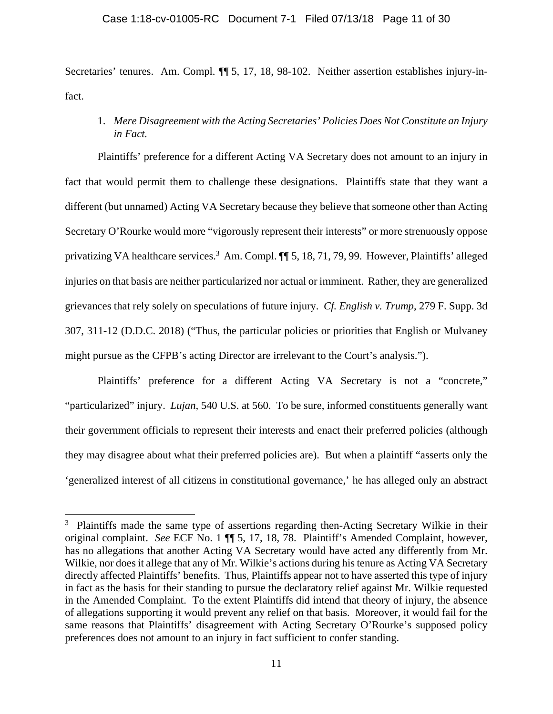#### Case 1:18-cv-01005-RC Document 7-1 Filed 07/13/18 Page 11 of 30

Secretaries' tenures. Am. Compl.  $\P$  5, 17, 18, 98-102. Neither assertion establishes injury-infact.

1. *Mere Disagreement with the Acting Secretaries' Policies Does Not Constitute an Injury in Fact.*

Plaintiffs' preference for a different Acting VA Secretary does not amount to an injury in fact that would permit them to challenge these designations. Plaintiffs state that they want a different (but unnamed) Acting VA Secretary because they believe that someone other than Acting Secretary O'Rourke would more "vigorously represent their interests" or more strenuously oppose privatizing VA healthcare services.<sup>3</sup> Am. Compl.  $\P$  5, 18, 71, 79, 99. However, Plaintiffs' alleged injuries on that basis are neither particularized nor actual or imminent. Rather, they are generalized grievances that rely solely on speculations of future injury. *Cf. English v. Trump*, 279 F. Supp. 3d 307, 311-12 (D.D.C. 2018) ("Thus, the particular policies or priorities that English or Mulvaney might pursue as the CFPB's acting Director are irrelevant to the Court's analysis.").

Plaintiffs' preference for a different Acting VA Secretary is not a "concrete," "particularized" injury. *Lujan,* 540 U.S. at 560. To be sure, informed constituents generally want their government officials to represent their interests and enact their preferred policies (although they may disagree about what their preferred policies are). But when a plaintiff "asserts only the 'generalized interest of all citizens in constitutional governance,' he has alleged only an abstract

<sup>&</sup>lt;sup>3</sup> Plaintiffs made the same type of assertions regarding then-Acting Secretary Wilkie in their original complaint. *See* ECF No. 1 ¶¶ 5, 17, 18, 78. Plaintiff's Amended Complaint, however, has no allegations that another Acting VA Secretary would have acted any differently from Mr. Wilkie, nor does it allege that any of Mr. Wilkie's actions during his tenure as Acting VA Secretary directly affected Plaintiffs' benefits. Thus, Plaintiffs appear not to have asserted this type of injury in fact as the basis for their standing to pursue the declaratory relief against Mr. Wilkie requested in the Amended Complaint. To the extent Plaintiffs did intend that theory of injury, the absence of allegations supporting it would prevent any relief on that basis. Moreover, it would fail for the same reasons that Plaintiffs' disagreement with Acting Secretary O'Rourke's supposed policy preferences does not amount to an injury in fact sufficient to confer standing.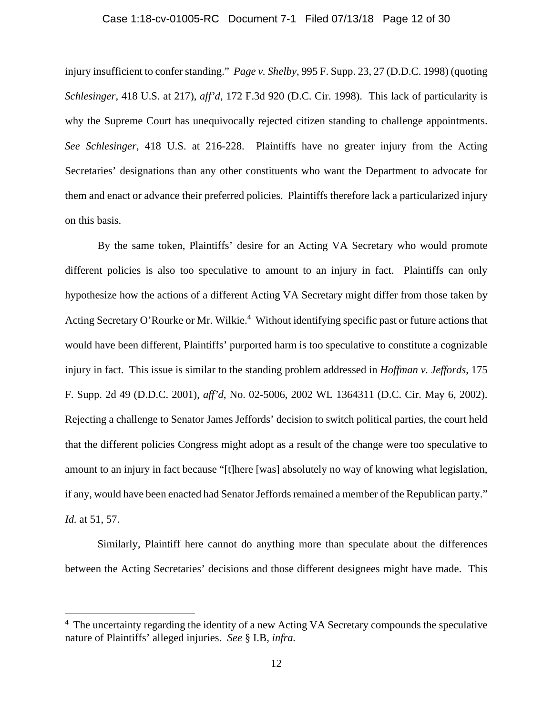#### Case 1:18-cv-01005-RC Document 7-1 Filed 07/13/18 Page 12 of 30

injury insufficient to confer standing." *Page v. Shelby*, 995 F. Supp. 23, 27 (D.D.C. 1998) (quoting *Schlesinger*, 418 U.S. at 217), *aff'd*, 172 F.3d 920 (D.C. Cir. 1998). This lack of particularity is why the Supreme Court has unequivocally rejected citizen standing to challenge appointments. *See Schlesinger*, 418 U.S. at 216-228. Plaintiffs have no greater injury from the Acting Secretaries' designations than any other constituents who want the Department to advocate for them and enact or advance their preferred policies. Plaintiffs therefore lack a particularized injury on this basis.

By the same token, Plaintiffs' desire for an Acting VA Secretary who would promote different policies is also too speculative to amount to an injury in fact. Plaintiffs can only hypothesize how the actions of a different Acting VA Secretary might differ from those taken by Acting Secretary O'Rourke or Mr. Wilkie.<sup>4</sup> Without identifying specific past or future actions that would have been different, Plaintiffs' purported harm is too speculative to constitute a cognizable injury in fact. This issue is similar to the standing problem addressed in *Hoffman v. Jeffords*, 175 F. Supp. 2d 49 (D.D.C. 2001), *aff'd*, No. 02-5006, 2002 WL 1364311 (D.C. Cir. May 6, 2002). Rejecting a challenge to Senator James Jeffords' decision to switch political parties, the court held that the different policies Congress might adopt as a result of the change were too speculative to amount to an injury in fact because "[t]here [was] absolutely no way of knowing what legislation, if any, would have been enacted had Senator Jeffords remained a member of the Republican party." *Id.* at 51, 57.

Similarly, Plaintiff here cannot do anything more than speculate about the differences between the Acting Secretaries' decisions and those different designees might have made. This

<sup>&</sup>lt;sup>4</sup> The uncertainty regarding the identity of a new Acting VA Secretary compounds the speculative nature of Plaintiffs' alleged injuries. *See* § I.B, *infra.*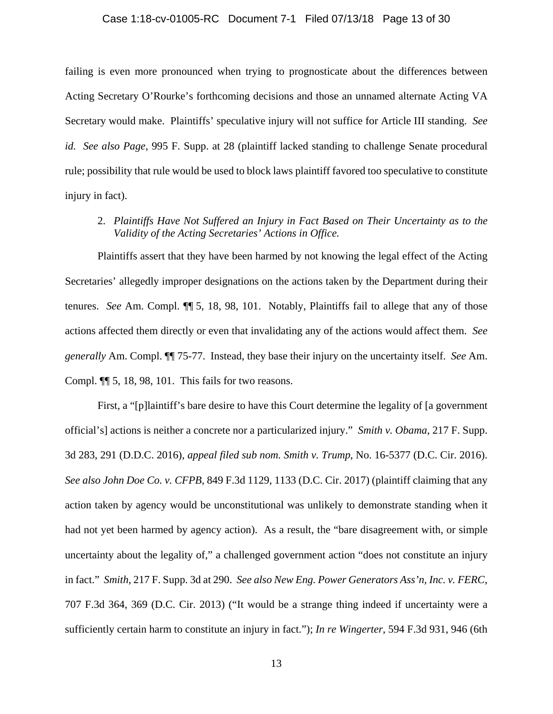#### Case 1:18-cv-01005-RC Document 7-1 Filed 07/13/18 Page 13 of 30

failing is even more pronounced when trying to prognosticate about the differences between Acting Secretary O'Rourke's forthcoming decisions and those an unnamed alternate Acting VA Secretary would make. Plaintiffs' speculative injury will not suffice for Article III standing. *See id. See also Page*, 995 F. Supp. at 28 (plaintiff lacked standing to challenge Senate procedural rule; possibility that rule would be used to block laws plaintiff favored too speculative to constitute injury in fact).

2. *Plaintiffs Have Not Suffered an Injury in Fact Based on Their Uncertainty as to the Validity of the Acting Secretaries' Actions in Office.*

Plaintiffs assert that they have been harmed by not knowing the legal effect of the Acting Secretaries' allegedly improper designations on the actions taken by the Department during their tenures. *See* Am. Compl. ¶¶ 5, 18, 98, 101. Notably, Plaintiffs fail to allege that any of those actions affected them directly or even that invalidating any of the actions would affect them. *See generally* Am. Compl. ¶¶ 75-77. Instead, they base their injury on the uncertainty itself. *See* Am. Compl. ¶¶ 5, 18, 98, 101. This fails for two reasons.

First, a "[p]laintiff's bare desire to have this Court determine the legality of [a government official's] actions is neither a concrete nor a particularized injury." *Smith v. Obama*, 217 F. Supp. 3d 283, 291 (D.D.C. 2016), *appeal filed sub nom. Smith v. Trump*, No. 16-5377 (D.C. Cir. 2016). *See also John Doe Co. v. CFPB*, 849 F.3d 1129, 1133 (D.C. Cir. 2017) (plaintiff claiming that any action taken by agency would be unconstitutional was unlikely to demonstrate standing when it had not yet been harmed by agency action). As a result, the "bare disagreement with, or simple uncertainty about the legality of," a challenged government action "does not constitute an injury in fact." *Smith*, 217 F. Supp. 3d at 290. *See also New Eng. Power Generators Ass'n, Inc. v. FERC*, 707 F.3d 364, 369 (D.C. Cir. 2013) ("It would be a strange thing indeed if uncertainty were a sufficiently certain harm to constitute an injury in fact."); *In re Wingerter*, 594 F.3d 931, 946 (6th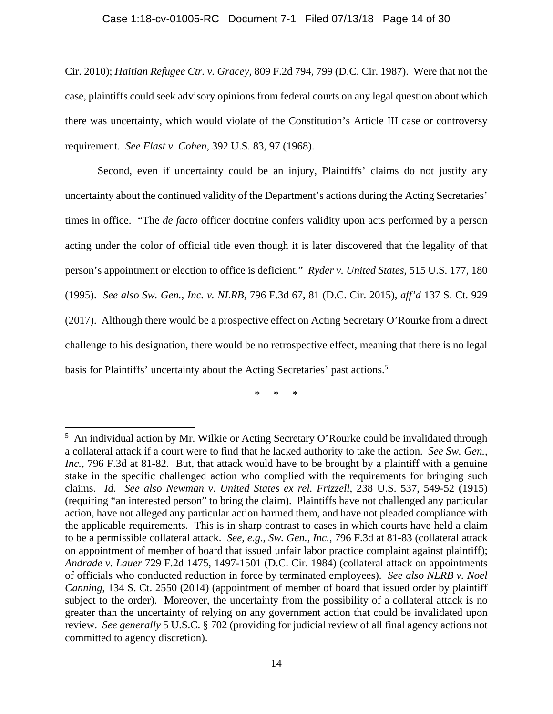#### Case 1:18-cv-01005-RC Document 7-1 Filed 07/13/18 Page 14 of 30

Cir. 2010); *Haitian Refugee Ctr. v. Gracey*, 809 F.2d 794, 799 (D.C. Cir. 1987). Were that not the case, plaintiffs could seek advisory opinions from federal courts on any legal question about which there was uncertainty, which would violate of the Constitution's Article III case or controversy requirement. *See Flast v. Cohen*, 392 U.S. 83, 97 (1968).

Second, even if uncertainty could be an injury, Plaintiffs' claims do not justify any uncertainty about the continued validity of the Department's actions during the Acting Secretaries' times in office. "The *de facto* officer doctrine confers validity upon acts performed by a person acting under the color of official title even though it is later discovered that the legality of that person's appointment or election to office is deficient." *Ryder v. United States*, 515 U.S. 177, 180 (1995). *See also Sw. Gen., Inc. v. NLRB*, 796 F.3d 67, 81 (D.C. Cir. 2015), *aff'd* 137 S. Ct. 929 (2017). Although there would be a prospective effect on Acting Secretary O'Rourke from a direct challenge to his designation, there would be no retrospective effect, meaning that there is no legal basis for Plaintiffs' uncertainty about the Acting Secretaries' past actions.<sup>5</sup>

\* \* \*

<sup>&</sup>lt;sup>5</sup> An individual action by Mr. Wilkie or Acting Secretary O'Rourke could be invalidated through a collateral attack if a court were to find that he lacked authority to take the action. *See Sw. Gen., Inc.*, 796 F.3d at 81-82. But, that attack would have to be brought by a plaintiff with a genuine stake in the specific challenged action who complied with the requirements for bringing such claims. *Id. See also Newman v. United States ex rel. Frizzell*, 238 U.S. 537, 549-52 (1915) (requiring "an interested person" to bring the claim). Plaintiffs have not challenged any particular action, have not alleged any particular action harmed them, and have not pleaded compliance with the applicable requirements. This is in sharp contrast to cases in which courts have held a claim to be a permissible collateral attack. *See, e.g.*, *Sw. Gen., Inc.*, 796 F.3d at 81-83 (collateral attack on appointment of member of board that issued unfair labor practice complaint against plaintiff); *Andrade v. Lauer* 729 F.2d 1475, 1497-1501 (D.C. Cir. 1984) (collateral attack on appointments of officials who conducted reduction in force by terminated employees). *See also NLRB v. Noel Canning*, 134 S. Ct. 2550 (2014) (appointment of member of board that issued order by plaintiff subject to the order). Moreover, the uncertainty from the possibility of a collateral attack is no greater than the uncertainty of relying on any government action that could be invalidated upon review. *See generally* 5 U.S.C. § 702 (providing for judicial review of all final agency actions not committed to agency discretion).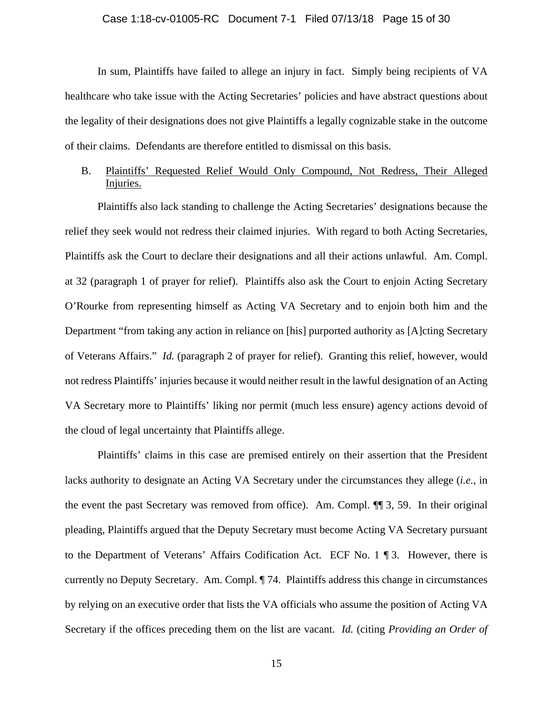#### Case 1:18-cv-01005-RC Document 7-1 Filed 07/13/18 Page 15 of 30

In sum, Plaintiffs have failed to allege an injury in fact. Simply being recipients of VA healthcare who take issue with the Acting Secretaries' policies and have abstract questions about the legality of their designations does not give Plaintiffs a legally cognizable stake in the outcome of their claims. Defendants are therefore entitled to dismissal on this basis.

# B. Plaintiffs' Requested Relief Would Only Compound, Not Redress, Their Alleged Injuries.

Plaintiffs also lack standing to challenge the Acting Secretaries' designations because the relief they seek would not redress their claimed injuries. With regard to both Acting Secretaries, Plaintiffs ask the Court to declare their designations and all their actions unlawful. Am. Compl. at 32 (paragraph 1 of prayer for relief). Plaintiffs also ask the Court to enjoin Acting Secretary O'Rourke from representing himself as Acting VA Secretary and to enjoin both him and the Department "from taking any action in reliance on [his] purported authority as [A]cting Secretary of Veterans Affairs." *Id.* (paragraph 2 of prayer for relief). Granting this relief, however, would not redress Plaintiffs' injuries because it would neither result in the lawful designation of an Acting VA Secretary more to Plaintiffs' liking nor permit (much less ensure) agency actions devoid of the cloud of legal uncertainty that Plaintiffs allege.

Plaintiffs' claims in this case are premised entirely on their assertion that the President lacks authority to designate an Acting VA Secretary under the circumstances they allege (*i.e.*, in the event the past Secretary was removed from office). Am. Compl. ¶¶ 3, 59. In their original pleading, Plaintiffs argued that the Deputy Secretary must become Acting VA Secretary pursuant to the Department of Veterans' Affairs Codification Act. ECF No. 1 ¶ 3. However, there is currently no Deputy Secretary. Am. Compl. ¶ 74. Plaintiffs address this change in circumstances by relying on an executive order that lists the VA officials who assume the position of Acting VA Secretary if the offices preceding them on the list are vacant. *Id.* (citing *Providing an Order of*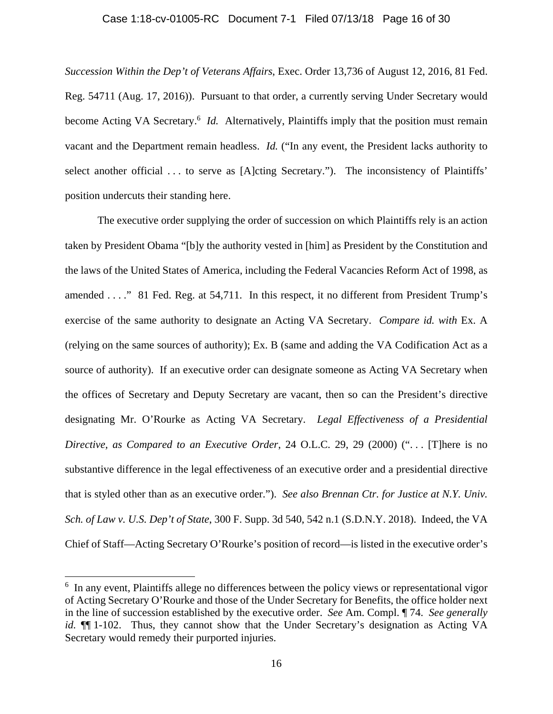#### Case 1:18-cv-01005-RC Document 7-1 Filed 07/13/18 Page 16 of 30

*Succession Within the Dep't of Veterans Affairs*, Exec. Order 13,736 of August 12, 2016, 81 Fed. Reg. 54711 (Aug. 17, 2016)). Pursuant to that order, a currently serving Under Secretary would become Acting VA Secretary.<sup>6</sup> *Id.* Alternatively, Plaintiffs imply that the position must remain vacant and the Department remain headless. *Id.* ("In any event, the President lacks authority to select another official ... to serve as [A]cting Secretary."). The inconsistency of Plaintiffs' position undercuts their standing here.

The executive order supplying the order of succession on which Plaintiffs rely is an action taken by President Obama "[b]y the authority vested in [him] as President by the Constitution and the laws of the United States of America, including the Federal Vacancies Reform Act of 1998, as amended . . . ." 81 Fed. Reg. at 54,711. In this respect, it no different from President Trump's exercise of the same authority to designate an Acting VA Secretary. *Compare id. with* Ex. A (relying on the same sources of authority); Ex. B (same and adding the VA Codification Act as a source of authority). If an executive order can designate someone as Acting VA Secretary when the offices of Secretary and Deputy Secretary are vacant, then so can the President's directive designating Mr. O'Rourke as Acting VA Secretary. *Legal Effectiveness of a Presidential Directive, as Compared to an Executive Order*, 24 O.L.C. 29, 29 (2000) (". . . [T]here is no substantive difference in the legal effectiveness of an executive order and a presidential directive that is styled other than as an executive order."). *See also Brennan Ctr. for Justice at N.Y. Univ. Sch. of Law v. U.S. Dep't of State*, 300 F. Supp. 3d 540, 542 n.1 (S.D.N.Y. 2018). Indeed, the VA Chief of Staff—Acting Secretary O'Rourke's position of record—is listed in the executive order's

<sup>&</sup>lt;sup>6</sup> In any event, Plaintiffs allege no differences between the policy views or representational vigor of Acting Secretary O'Rourke and those of the Under Secretary for Benefits, the office holder next in the line of succession established by the executive order. *See* Am. Compl. ¶ 74. *See generally id.*  $\P$ [1-102. Thus, they cannot show that the Under Secretary's designation as Acting VA Secretary would remedy their purported injuries.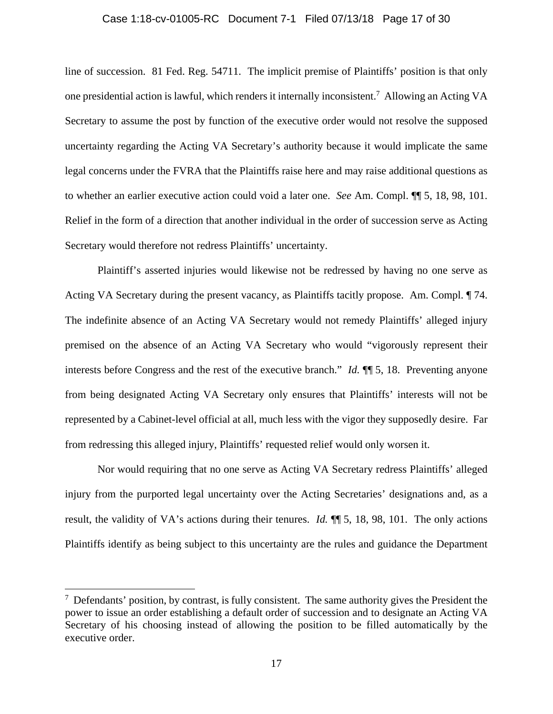#### Case 1:18-cv-01005-RC Document 7-1 Filed 07/13/18 Page 17 of 30

line of succession. 81 Fed. Reg. 54711. The implicit premise of Plaintiffs' position is that only one presidential action is lawful, which renders it internally inconsistent.<sup>7</sup> Allowing an Acting VA Secretary to assume the post by function of the executive order would not resolve the supposed uncertainty regarding the Acting VA Secretary's authority because it would implicate the same legal concerns under the FVRA that the Plaintiffs raise here and may raise additional questions as to whether an earlier executive action could void a later one. *See* Am. Compl. ¶¶ 5, 18, 98, 101. Relief in the form of a direction that another individual in the order of succession serve as Acting Secretary would therefore not redress Plaintiffs' uncertainty.

Plaintiff's asserted injuries would likewise not be redressed by having no one serve as Acting VA Secretary during the present vacancy, as Plaintiffs tacitly propose. Am. Compl. ¶ 74. The indefinite absence of an Acting VA Secretary would not remedy Plaintiffs' alleged injury premised on the absence of an Acting VA Secretary who would "vigorously represent their interests before Congress and the rest of the executive branch." *Id.* ¶¶ 5, 18. Preventing anyone from being designated Acting VA Secretary only ensures that Plaintiffs' interests will not be represented by a Cabinet-level official at all, much less with the vigor they supposedly desire. Far from redressing this alleged injury, Plaintiffs' requested relief would only worsen it.

Nor would requiring that no one serve as Acting VA Secretary redress Plaintiffs' alleged injury from the purported legal uncertainty over the Acting Secretaries' designations and, as a result, the validity of VA's actions during their tenures. *Id.* ¶¶ 5, 18, 98, 101. The only actions Plaintiffs identify as being subject to this uncertainty are the rules and guidance the Department

 $\overline{a}$ 

 $<sup>7</sup>$  Defendants' position, by contrast, is fully consistent. The same authority gives the President the</sup> power to issue an order establishing a default order of succession and to designate an Acting VA Secretary of his choosing instead of allowing the position to be filled automatically by the executive order.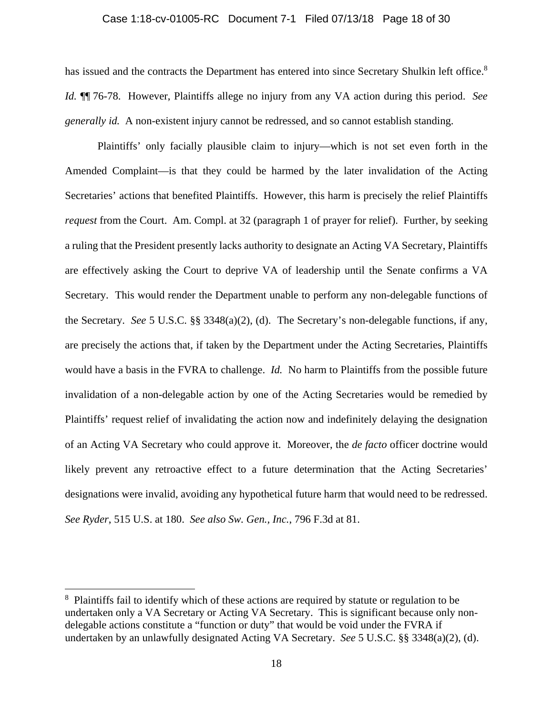#### Case 1:18-cv-01005-RC Document 7-1 Filed 07/13/18 Page 18 of 30

has issued and the contracts the Department has entered into since Secretary Shulkin left office.<sup>8</sup> *Id.* ¶¶ 76-78. However, Plaintiffs allege no injury from any VA action during this period. *See generally id.* A non-existent injury cannot be redressed, and so cannot establish standing.

Plaintiffs' only facially plausible claim to injury—which is not set even forth in the Amended Complaint—is that they could be harmed by the later invalidation of the Acting Secretaries' actions that benefited Plaintiffs. However, this harm is precisely the relief Plaintiffs *request* from the Court. Am. Compl. at 32 (paragraph 1 of prayer for relief). Further, by seeking a ruling that the President presently lacks authority to designate an Acting VA Secretary, Plaintiffs are effectively asking the Court to deprive VA of leadership until the Senate confirms a VA Secretary. This would render the Department unable to perform any non-delegable functions of the Secretary. *See* 5 U.S.C. §§ 3348(a)(2), (d). The Secretary's non-delegable functions, if any, are precisely the actions that, if taken by the Department under the Acting Secretaries, Plaintiffs would have a basis in the FVRA to challenge. *Id.* No harm to Plaintiffs from the possible future invalidation of a non-delegable action by one of the Acting Secretaries would be remedied by Plaintiffs' request relief of invalidating the action now and indefinitely delaying the designation of an Acting VA Secretary who could approve it. Moreover, the *de facto* officer doctrine would likely prevent any retroactive effect to a future determination that the Acting Secretaries' designations were invalid, avoiding any hypothetical future harm that would need to be redressed. *See Ryder*, 515 U.S. at 180. *See also Sw. Gen., Inc.*, 796 F.3d at 81.

 $\overline{a}$ 

<sup>&</sup>lt;sup>8</sup> Plaintiffs fail to identify which of these actions are required by statute or regulation to be undertaken only a VA Secretary or Acting VA Secretary. This is significant because only nondelegable actions constitute a "function or duty" that would be void under the FVRA if undertaken by an unlawfully designated Acting VA Secretary. *See* 5 U.S.C. §§ 3348(a)(2), (d).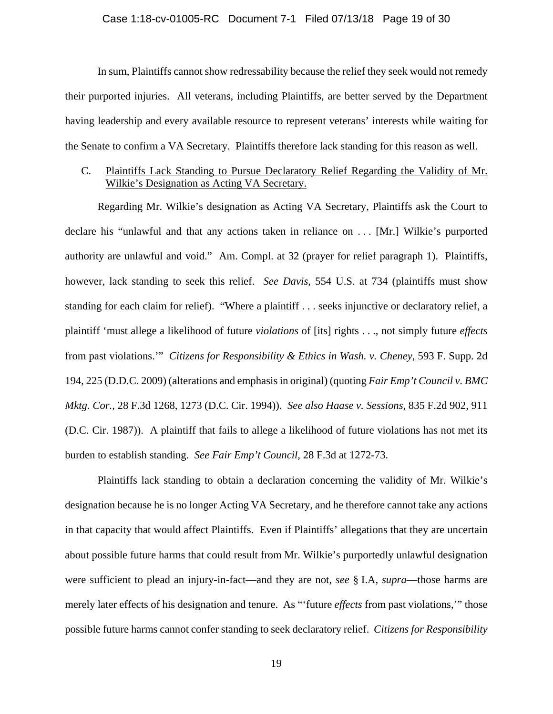#### Case 1:18-cv-01005-RC Document 7-1 Filed 07/13/18 Page 19 of 30

In sum, Plaintiffs cannot show redressability because the relief they seek would not remedy their purported injuries. All veterans, including Plaintiffs, are better served by the Department having leadership and every available resource to represent veterans' interests while waiting for the Senate to confirm a VA Secretary. Plaintiffs therefore lack standing for this reason as well.

## C. Plaintiffs Lack Standing to Pursue Declaratory Relief Regarding the Validity of Mr. Wilkie's Designation as Acting VA Secretary.

Regarding Mr. Wilkie's designation as Acting VA Secretary, Plaintiffs ask the Court to declare his "unlawful and that any actions taken in reliance on . . . [Mr.] Wilkie's purported authority are unlawful and void." Am. Compl. at 32 (prayer for relief paragraph 1). Plaintiffs, however, lack standing to seek this relief. *See Davis*, 554 U.S. at 734 (plaintiffs must show standing for each claim for relief). "Where a plaintiff . . . seeks injunctive or declaratory relief, a plaintiff 'must allege a likelihood of future *violations* of [its] rights . . ., not simply future *effects*  from past violations.'" *Citizens for Responsibility & Ethics in Wash. v. Cheney*, 593 F. Supp. 2d 194, 225 (D.D.C. 2009) (alterations and emphasis in original) (quoting *Fair Emp't Council v. BMC Mktg. Cor.*, 28 F.3d 1268, 1273 (D.C. Cir. 1994)). *See also Haase v. Sessions*, 835 F.2d 902, 911 (D.C. Cir. 1987)). A plaintiff that fails to allege a likelihood of future violations has not met its burden to establish standing. *See Fair Emp't Council*, 28 F.3d at 1272-73.

Plaintiffs lack standing to obtain a declaration concerning the validity of Mr. Wilkie's designation because he is no longer Acting VA Secretary, and he therefore cannot take any actions in that capacity that would affect Plaintiffs. Even if Plaintiffs' allegations that they are uncertain about possible future harms that could result from Mr. Wilkie's purportedly unlawful designation were sufficient to plead an injury-in-fact—and they are not, *see* § I.A, *supra*—those harms are merely later effects of his designation and tenure. As "'future *effects* from past violations,'" those possible future harms cannot confer standing to seek declaratory relief. *Citizens for Responsibility*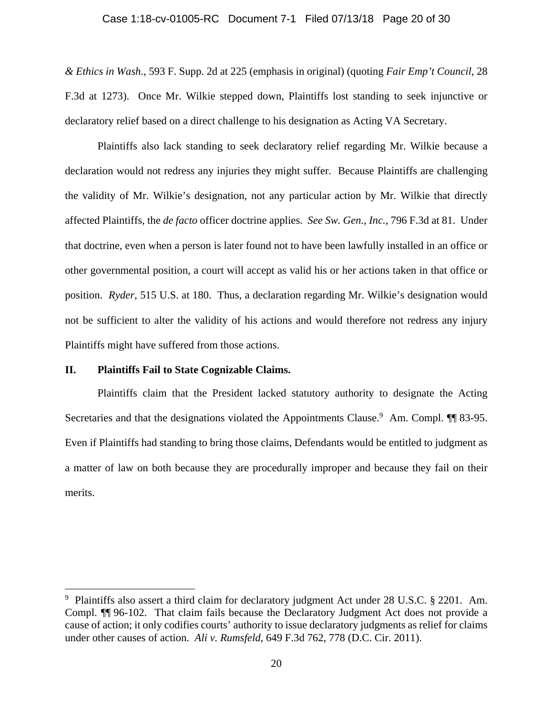#### Case 1:18-cv-01005-RC Document 7-1 Filed 07/13/18 Page 20 of 30

*& Ethics in Wash.*, 593 F. Supp. 2d at 225 (emphasis in original) (quoting *Fair Emp't Council*, 28 F.3d at 1273). Once Mr. Wilkie stepped down, Plaintiffs lost standing to seek injunctive or declaratory relief based on a direct challenge to his designation as Acting VA Secretary.

Plaintiffs also lack standing to seek declaratory relief regarding Mr. Wilkie because a declaration would not redress any injuries they might suffer. Because Plaintiffs are challenging the validity of Mr. Wilkie's designation, not any particular action by Mr. Wilkie that directly affected Plaintiffs, the *de facto* officer doctrine applies. *See Sw. Gen., Inc.*, 796 F.3d at 81. Under that doctrine, even when a person is later found not to have been lawfully installed in an office or other governmental position, a court will accept as valid his or her actions taken in that office or position. *Ryder*, 515 U.S. at 180. Thus, a declaration regarding Mr. Wilkie's designation would not be sufficient to alter the validity of his actions and would therefore not redress any injury Plaintiffs might have suffered from those actions.

#### **II. Plaintiffs Fail to State Cognizable Claims.**

 $\overline{a}$ 

Plaintiffs claim that the President lacked statutory authority to designate the Acting Secretaries and that the designations violated the Appointments Clause.<sup>9</sup> Am. Compl. 11 83-95. Even if Plaintiffs had standing to bring those claims, Defendants would be entitled to judgment as a matter of law on both because they are procedurally improper and because they fail on their merits.

<sup>&</sup>lt;sup>9</sup> Plaintiffs also assert a third claim for declaratory judgment Act under 28 U.S.C. § 2201. Am. Compl. ¶¶ 96-102. That claim fails because the Declaratory Judgment Act does not provide a cause of action; it only codifies courts' authority to issue declaratory judgments as relief for claims under other causes of action. *Ali v. Rumsfeld*, 649 F.3d 762, 778 (D.C. Cir. 2011).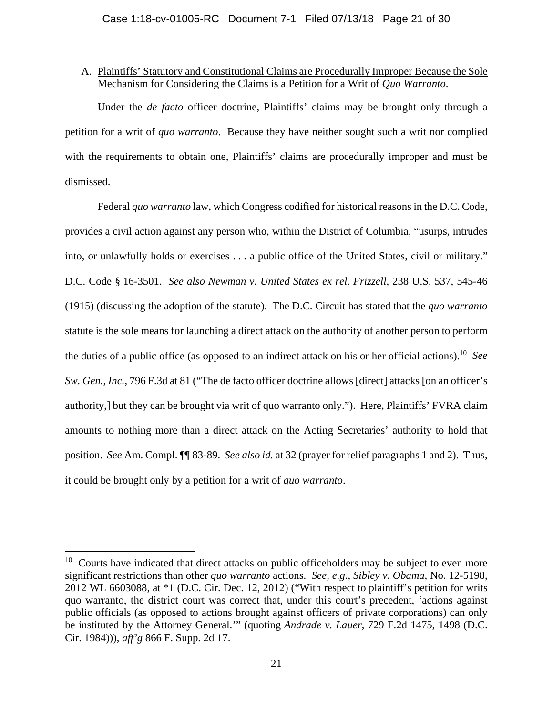## A. Plaintiffs' Statutory and Constitutional Claims are Procedurally Improper Because the Sole Mechanism for Considering the Claims is a Petition for a Writ of *Quo Warranto*.

Under the *de facto* officer doctrine, Plaintiffs' claims may be brought only through a petition for a writ of *quo warranto*. Because they have neither sought such a writ nor complied with the requirements to obtain one, Plaintiffs' claims are procedurally improper and must be dismissed.

Federal *quo warranto* law, which Congress codified for historical reasons in the D.C. Code, provides a civil action against any person who, within the District of Columbia, "usurps, intrudes into, or unlawfully holds or exercises . . . a public office of the United States, civil or military." D.C. Code § 16-3501. *See also Newman v. United States ex rel. Frizzell*, 238 U.S. 537, 545-46 (1915) (discussing the adoption of the statute). The D.C. Circuit has stated that the *quo warranto* statute is the sole means for launching a direct attack on the authority of another person to perform the duties of a public office (as opposed to an indirect attack on his or her official actions).10 *See Sw. Gen., Inc.*, 796 F.3d at 81 ("The de facto officer doctrine allows [direct] attacks [on an officer's authority,] but they can be brought via writ of quo warranto only."). Here, Plaintiffs' FVRA claim amounts to nothing more than a direct attack on the Acting Secretaries' authority to hold that position. *See* Am. Compl. ¶¶ 83-89. *See also id.* at 32 (prayer for relief paragraphs 1 and 2). Thus, it could be brought only by a petition for a writ of *quo warranto*.

<sup>&</sup>lt;sup>10</sup> Courts have indicated that direct attacks on public officeholders may be subject to even more significant restrictions than other *quo warranto* actions. *See, e.g.*, *Sibley v. Obama*, No. 12-5198, 2012 WL 6603088, at \*1 (D.C. Cir. Dec. 12, 2012) ("With respect to plaintiff's petition for writs quo warranto, the district court was correct that, under this court's precedent, 'actions against public officials (as opposed to actions brought against officers of private corporations) can only be instituted by the Attorney General.'" (quoting *Andrade v. Lauer*, 729 F.2d 1475, 1498 (D.C. Cir. 1984))), *aff'g* 866 F. Supp. 2d 17.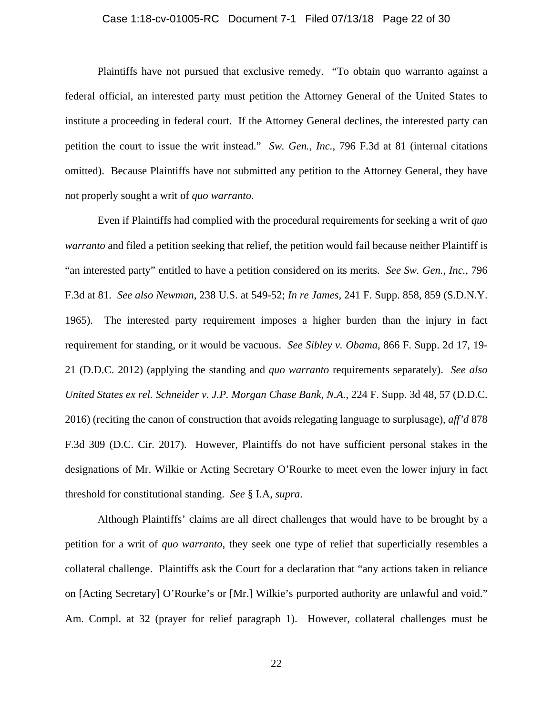#### Case 1:18-cv-01005-RC Document 7-1 Filed 07/13/18 Page 22 of 30

Plaintiffs have not pursued that exclusive remedy. "To obtain quo warranto against a federal official, an interested party must petition the Attorney General of the United States to institute a proceeding in federal court. If the Attorney General declines, the interested party can petition the court to issue the writ instead." *Sw. Gen., Inc.*, 796 F.3d at 81 (internal citations omitted). Because Plaintiffs have not submitted any petition to the Attorney General, they have not properly sought a writ of *quo warranto*.

Even if Plaintiffs had complied with the procedural requirements for seeking a writ of *quo warranto* and filed a petition seeking that relief, the petition would fail because neither Plaintiff is "an interested party" entitled to have a petition considered on its merits. *See Sw. Gen., Inc.*, 796 F.3d at 81. *See also Newman*, 238 U.S. at 549-52; *In re James*, 241 F. Supp. 858, 859 (S.D.N.Y. 1965). The interested party requirement imposes a higher burden than the injury in fact requirement for standing, or it would be vacuous. *See Sibley v. Obama*, 866 F. Supp. 2d 17, 19- 21 (D.D.C. 2012) (applying the standing and *quo warranto* requirements separately). *See also United States ex rel. Schneider v. J.P. Morgan Chase Bank, N.A.*, 224 F. Supp. 3d 48, 57 (D.D.C. 2016) (reciting the canon of construction that avoids relegating language to surplusage), *aff'd* 878 F.3d 309 (D.C. Cir. 2017). However, Plaintiffs do not have sufficient personal stakes in the designations of Mr. Wilkie or Acting Secretary O'Rourke to meet even the lower injury in fact threshold for constitutional standing. *See* § I.A, *supra*.

Although Plaintiffs' claims are all direct challenges that would have to be brought by a petition for a writ of *quo warranto*, they seek one type of relief that superficially resembles a collateral challenge. Plaintiffs ask the Court for a declaration that "any actions taken in reliance on [Acting Secretary] O'Rourke's or [Mr.] Wilkie's purported authority are unlawful and void." Am. Compl. at 32 (prayer for relief paragraph 1). However, collateral challenges must be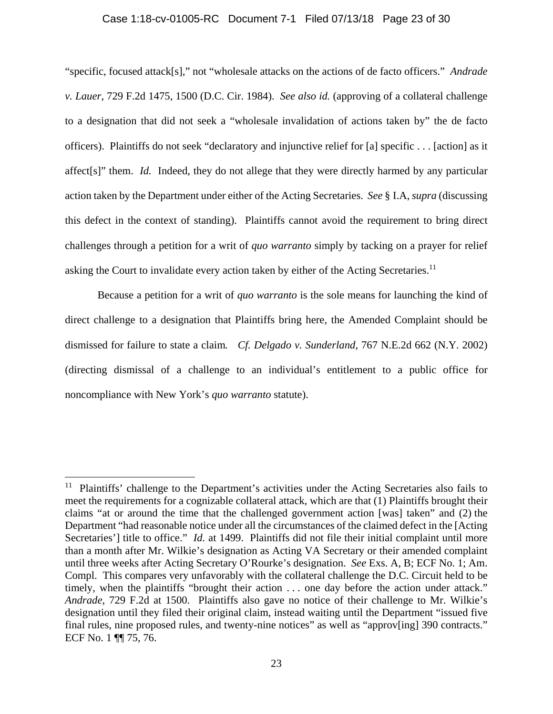#### Case 1:18-cv-01005-RC Document 7-1 Filed 07/13/18 Page 23 of 30

"specific, focused attack[s]," not "wholesale attacks on the actions of de facto officers." *Andrade v. Lauer*, 729 F.2d 1475, 1500 (D.C. Cir. 1984). *See also id.* (approving of a collateral challenge to a designation that did not seek a "wholesale invalidation of actions taken by" the de facto officers). Plaintiffs do not seek "declaratory and injunctive relief for [a] specific . . . [action] as it affect[s]" them. *Id.* Indeed, they do not allege that they were directly harmed by any particular action taken by the Department under either of the Acting Secretaries. *See* § I.A, *supra* (discussing this defect in the context of standing). Plaintiffs cannot avoid the requirement to bring direct challenges through a petition for a writ of *quo warranto* simply by tacking on a prayer for relief asking the Court to invalidate every action taken by either of the Acting Secretaries.<sup>11</sup>

Because a petition for a writ of *quo warranto* is the sole means for launching the kind of direct challenge to a designation that Plaintiffs bring here, the Amended Complaint should be dismissed for failure to state a claim*. Cf. Delgado v. Sunderland*, 767 N.E.2d 662 (N.Y. 2002) (directing dismissal of a challenge to an individual's entitlement to a public office for noncompliance with New York's *quo warranto* statute).

<sup>&</sup>lt;sup>11</sup> Plaintiffs' challenge to the Department's activities under the Acting Secretaries also fails to meet the requirements for a cognizable collateral attack, which are that (1) Plaintiffs brought their claims "at or around the time that the challenged government action [was] taken" and (2) the Department "had reasonable notice under all the circumstances of the claimed defect in the [Acting Secretaries'] title to office." *Id.* at 1499. Plaintiffs did not file their initial complaint until more than a month after Mr. Wilkie's designation as Acting VA Secretary or their amended complaint until three weeks after Acting Secretary O'Rourke's designation. *See* Exs. A, B; ECF No. 1; Am. Compl. This compares very unfavorably with the collateral challenge the D.C. Circuit held to be timely, when the plaintiffs "brought their action . . . one day before the action under attack." *Andrade*, 729 F.2d at 1500. Plaintiffs also gave no notice of their challenge to Mr. Wilkie's designation until they filed their original claim, instead waiting until the Department "issued five final rules, nine proposed rules, and twenty-nine notices" as well as "approv[ing] 390 contracts." ECF No. 1 ¶¶ 75, 76.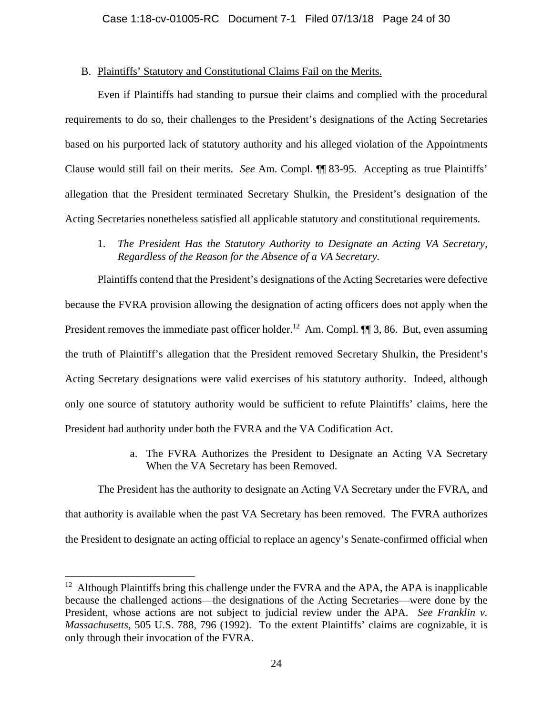## B. Plaintiffs' Statutory and Constitutional Claims Fail on the Merits.

Even if Plaintiffs had standing to pursue their claims and complied with the procedural requirements to do so, their challenges to the President's designations of the Acting Secretaries based on his purported lack of statutory authority and his alleged violation of the Appointments Clause would still fail on their merits. *See* Am. Compl. ¶¶ 83-95. Accepting as true Plaintiffs' allegation that the President terminated Secretary Shulkin, the President's designation of the Acting Secretaries nonetheless satisfied all applicable statutory and constitutional requirements.

1. *The President Has the Statutory Authority to Designate an Acting VA Secretary, Regardless of the Reason for the Absence of a VA Secretary.* 

Plaintiffs contend that the President's designations of the Acting Secretaries were defective because the FVRA provision allowing the designation of acting officers does not apply when the President removes the immediate past officer holder.<sup>12</sup> Am. Compl.  $\P$  3, 86. But, even assuming the truth of Plaintiff's allegation that the President removed Secretary Shulkin, the President's Acting Secretary designations were valid exercises of his statutory authority. Indeed, although only one source of statutory authority would be sufficient to refute Plaintiffs' claims, here the President had authority under both the FVRA and the VA Codification Act.

> a. The FVRA Authorizes the President to Designate an Acting VA Secretary When the VA Secretary has been Removed.

The President has the authority to designate an Acting VA Secretary under the FVRA, and that authority is available when the past VA Secretary has been removed. The FVRA authorizes the President to designate an acting official to replace an agency's Senate-confirmed official when

 $12$  Although Plaintiffs bring this challenge under the FVRA and the APA, the APA is inapplicable because the challenged actions—the designations of the Acting Secretaries—were done by the President, whose actions are not subject to judicial review under the APA. *See Franklin v. Massachusetts*, 505 U.S. 788, 796 (1992). To the extent Plaintiffs' claims are cognizable, it is only through their invocation of the FVRA.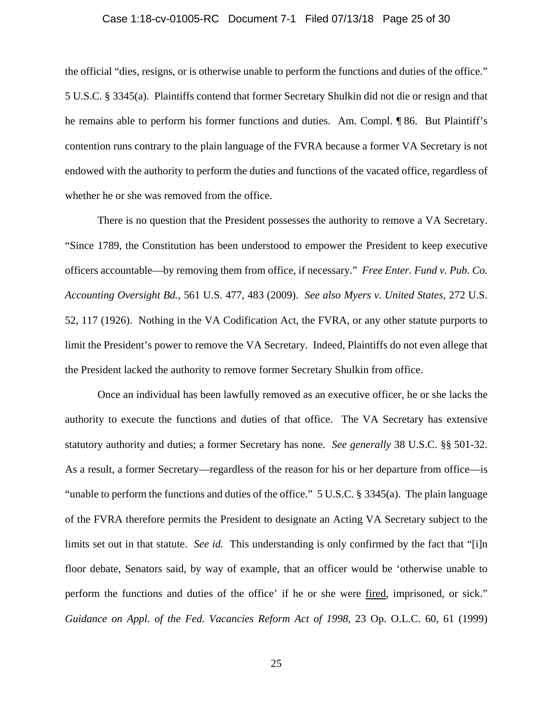#### Case 1:18-cv-01005-RC Document 7-1 Filed 07/13/18 Page 25 of 30

the official "dies, resigns, or is otherwise unable to perform the functions and duties of the office." 5 U.S.C. § 3345(a). Plaintiffs contend that former Secretary Shulkin did not die or resign and that he remains able to perform his former functions and duties. Am. Compl. ¶ 86. But Plaintiff's contention runs contrary to the plain language of the FVRA because a former VA Secretary is not endowed with the authority to perform the duties and functions of the vacated office, regardless of whether he or she was removed from the office.

There is no question that the President possesses the authority to remove a VA Secretary. "Since 1789, the Constitution has been understood to empower the President to keep executive officers accountable—by removing them from office, if necessary." *Free Enter. Fund v. Pub. Co. Accounting Oversight Bd.*, 561 U.S. 477, 483 (2009). *See also Myers v. United States*, 272 U.S. 52, 117 (1926). Nothing in the VA Codification Act, the FVRA, or any other statute purports to limit the President's power to remove the VA Secretary. Indeed, Plaintiffs do not even allege that the President lacked the authority to remove former Secretary Shulkin from office.

Once an individual has been lawfully removed as an executive officer, he or she lacks the authority to execute the functions and duties of that office. The VA Secretary has extensive statutory authority and duties; a former Secretary has none. *See generally* 38 U.S.C. §§ 501-32. As a result, a former Secretary—regardless of the reason for his or her departure from office—is "unable to perform the functions and duties of the office." 5 U.S.C. § 3345(a). The plain language of the FVRA therefore permits the President to designate an Acting VA Secretary subject to the limits set out in that statute. *See id.* This understanding is only confirmed by the fact that "[i]n floor debate, Senators said, by way of example, that an officer would be 'otherwise unable to perform the functions and duties of the office' if he or she were fired, imprisoned, or sick." *Guidance on Appl. of the Fed. Vacancies Reform Act of 1998*, 23 Op. O.L.C. 60, 61 (1999)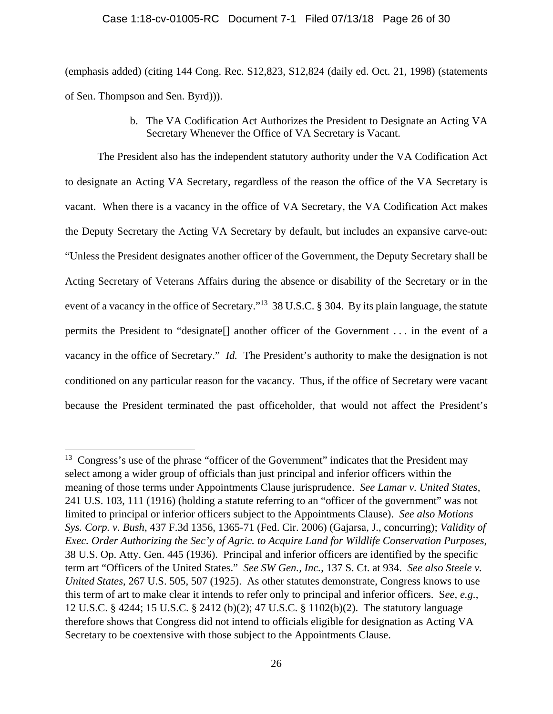#### Case 1:18-cv-01005-RC Document 7-1 Filed 07/13/18 Page 26 of 30

(emphasis added) (citing 144 Cong. Rec. S12,823, S12,824 (daily ed. Oct. 21, 1998) (statements of Sen. Thompson and Sen. Byrd))).

> b. The VA Codification Act Authorizes the President to Designate an Acting VA Secretary Whenever the Office of VA Secretary is Vacant.

The President also has the independent statutory authority under the VA Codification Act to designate an Acting VA Secretary, regardless of the reason the office of the VA Secretary is vacant. When there is a vacancy in the office of VA Secretary, the VA Codification Act makes the Deputy Secretary the Acting VA Secretary by default, but includes an expansive carve-out: "Unless the President designates another officer of the Government, the Deputy Secretary shall be Acting Secretary of Veterans Affairs during the absence or disability of the Secretary or in the event of a vacancy in the office of Secretary."<sup>13</sup> 38 U.S.C. § 304. By its plain language, the statute permits the President to "designate[] another officer of the Government . . . in the event of a vacancy in the office of Secretary." *Id.* The President's authority to make the designation is not conditioned on any particular reason for the vacancy. Thus, if the office of Secretary were vacant because the President terminated the past officeholder, that would not affect the President's

 $\overline{a}$ 

 $13$  Congress's use of the phrase "officer of the Government" indicates that the President may select among a wider group of officials than just principal and inferior officers within the meaning of those terms under Appointments Clause jurisprudence. *See Lamar v. United States*, 241 U.S. 103, 111 (1916) (holding a statute referring to an "officer of the government" was not limited to principal or inferior officers subject to the Appointments Clause). *See also Motions Sys. Corp. v. Bush*, 437 F.3d 1356, 1365-71 (Fed. Cir. 2006) (Gajarsa, J., concurring); *Validity of Exec. Order Authorizing the Sec'y of Agric. to Acquire Land for Wildlife Conservation Purposes*, 38 U.S. Op. Atty. Gen. 445 (1936). Principal and inferior officers are identified by the specific term art "Officers of the United States." *See SW Gen., Inc.*, 137 S. Ct. at 934. *See also Steele v. United States*, 267 U.S. 505, 507 (1925). As other statutes demonstrate, Congress knows to use this term of art to make clear it intends to refer only to principal and inferior officers. S*ee, e.g.*, 12 U.S.C. § 4244; 15 U.S.C. § 2412 (b)(2); 47 U.S.C. § 1102(b)(2). The statutory language therefore shows that Congress did not intend to officials eligible for designation as Acting VA Secretary to be coextensive with those subject to the Appointments Clause.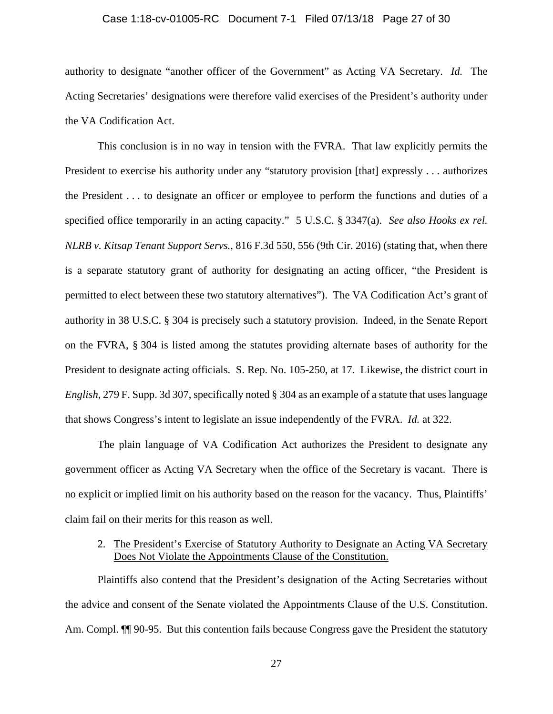#### Case 1:18-cv-01005-RC Document 7-1 Filed 07/13/18 Page 27 of 30

authority to designate "another officer of the Government" as Acting VA Secretary. *Id.* The Acting Secretaries' designations were therefore valid exercises of the President's authority under the VA Codification Act.

This conclusion is in no way in tension with the FVRA. That law explicitly permits the President to exercise his authority under any "statutory provision [that] expressly . . . authorizes the President . . . to designate an officer or employee to perform the functions and duties of a specified office temporarily in an acting capacity." 5 U.S.C. § 3347(a). *See also Hooks ex rel. NLRB v. Kitsap Tenant Support Servs.*, 816 F.3d 550, 556 (9th Cir. 2016) (stating that, when there is a separate statutory grant of authority for designating an acting officer, "the President is permitted to elect between these two statutory alternatives"). The VA Codification Act's grant of authority in 38 U.S.C. § 304 is precisely such a statutory provision. Indeed, in the Senate Report on the FVRA, § 304 is listed among the statutes providing alternate bases of authority for the President to designate acting officials. S. Rep. No. 105-250, at 17. Likewise, the district court in *English,* 279 F. Supp. 3d 307, specifically noted § 304 as an example of a statute that uses language that shows Congress's intent to legislate an issue independently of the FVRA. *Id.* at 322.

The plain language of VA Codification Act authorizes the President to designate any government officer as Acting VA Secretary when the office of the Secretary is vacant. There is no explicit or implied limit on his authority based on the reason for the vacancy. Thus, Plaintiffs' claim fail on their merits for this reason as well.

## 2. The President's Exercise of Statutory Authority to Designate an Acting VA Secretary Does Not Violate the Appointments Clause of the Constitution.

Plaintiffs also contend that the President's designation of the Acting Secretaries without the advice and consent of the Senate violated the Appointments Clause of the U.S. Constitution. Am. Compl.  $\P$  90-95. But this contention fails because Congress gave the President the statutory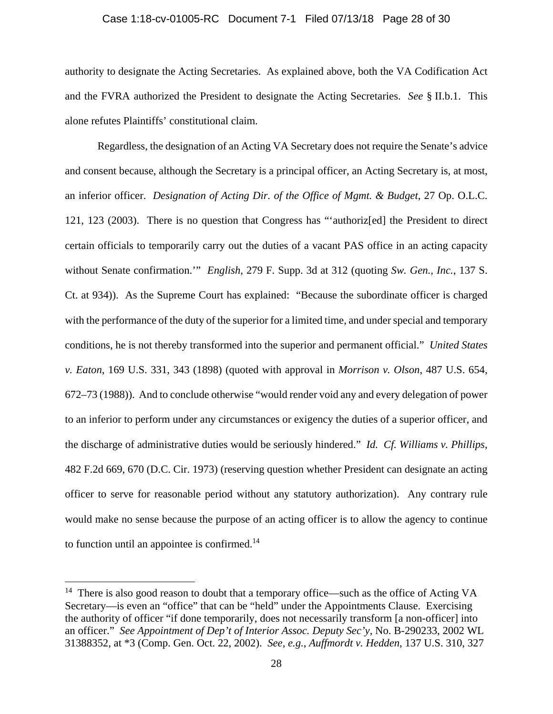#### Case 1:18-cv-01005-RC Document 7-1 Filed 07/13/18 Page 28 of 30

authority to designate the Acting Secretaries. As explained above, both the VA Codification Act and the FVRA authorized the President to designate the Acting Secretaries. *See* § II.b.1. This alone refutes Plaintiffs' constitutional claim.

Regardless, the designation of an Acting VA Secretary does not require the Senate's advice and consent because, although the Secretary is a principal officer, an Acting Secretary is, at most, an inferior officer. *Designation of Acting Dir. of the Office of Mgmt. & Budget*, 27 Op. O.L.C. 121, 123 (2003). There is no question that Congress has "'authoriz[ed] the President to direct certain officials to temporarily carry out the duties of a vacant PAS office in an acting capacity without Senate confirmation.'" *English*, 279 F. Supp. 3d at 312 (quoting *Sw. Gen., Inc.*, 137 S. Ct. at 934)). As the Supreme Court has explained: "Because the subordinate officer is charged with the performance of the duty of the superior for a limited time, and under special and temporary conditions, he is not thereby transformed into the superior and permanent official." *United States v. Eaton*, 169 U.S. 331, 343 (1898) (quoted with approval in *Morrison v. Olson*, 487 U.S. 654, 672–73 (1988)). And to conclude otherwise "would render void any and every delegation of power to an inferior to perform under any circumstances or exigency the duties of a superior officer, and the discharge of administrative duties would be seriously hindered." *Id. Cf. Williams v. Phillips*, 482 F.2d 669, 670 (D.C. Cir. 1973) (reserving question whether President can designate an acting officer to serve for reasonable period without any statutory authorization). Any contrary rule would make no sense because the purpose of an acting officer is to allow the agency to continue to function until an appointee is confirmed. $14$ 

<sup>&</sup>lt;sup>14</sup> There is also good reason to doubt that a temporary office—such as the office of Acting VA Secretary—is even an "office" that can be "held" under the Appointments Clause. Exercising the authority of officer "if done temporarily, does not necessarily transform [a non-officer] into an officer." *See Appointment of Dep't of Interior Assoc. Deputy Sec'y*, No. B-290233, 2002 WL 31388352, at \*3 (Comp. Gen. Oct. 22, 2002). *See, e.g.*, *Auffmordt v. Hedden*, 137 U.S. 310, 327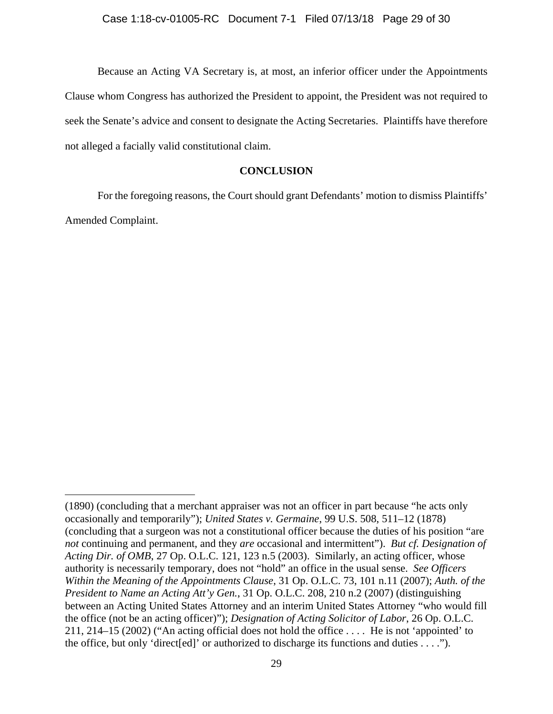Because an Acting VA Secretary is, at most, an inferior officer under the Appointments Clause whom Congress has authorized the President to appoint, the President was not required to seek the Senate's advice and consent to designate the Acting Secretaries. Plaintiffs have therefore not alleged a facially valid constitutional claim.

## **CONCLUSION**

For the foregoing reasons, the Court should grant Defendants' motion to dismiss Plaintiffs' Amended Complaint.

<sup>(1890) (</sup>concluding that a merchant appraiser was not an officer in part because "he acts only occasionally and temporarily"); *United States v. Germaine*, 99 U.S. 508, 511–12 (1878) (concluding that a surgeon was not a constitutional officer because the duties of his position "are *not* continuing and permanent, and they *are* occasional and intermittent"). *But cf. Designation of Acting Dir. of OMB*, 27 Op. O.L.C. 121, 123 n.5 (2003). Similarly, an acting officer, whose authority is necessarily temporary, does not "hold" an office in the usual sense. *See Officers Within the Meaning of the Appointments Clause*, 31 Op. O.L.C. 73, 101 n.11 (2007); *Auth. of the President to Name an Acting Att'y Gen.*, 31 Op. O.L.C. 208, 210 n.2 (2007) (distinguishing between an Acting United States Attorney and an interim United States Attorney "who would fill the office (not be an acting officer)"); *Designation of Acting Solicitor of Labor*, 26 Op. O.L.C. 211, 214–15 (2002) ("An acting official does not hold the office . . . . He is not 'appointed' to the office, but only 'direct[ed]' or authorized to discharge its functions and duties  $\dots$ .").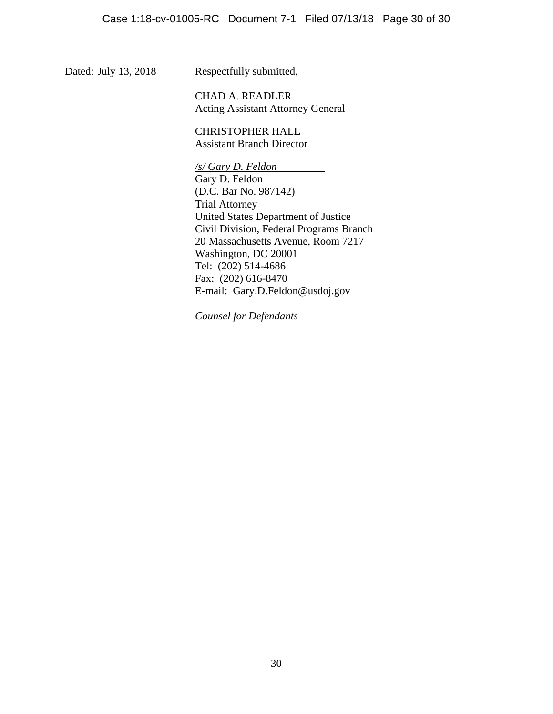Dated: July 13, 2018 Respectfully submitted,

 CHAD A. READLER Acting Assistant Attorney General

 CHRISTOPHER HALL Assistant Branch Director

 */s/ Gary D. Feldon*  Gary D. Feldon (D.C. Bar No. 987142) Trial Attorney United States Department of Justice Civil Division, Federal Programs Branch 20 Massachusetts Avenue, Room 7217 Washington, DC 20001 Tel: (202) 514-4686 Fax: (202) 616-8470 E-mail: Gary.D.Feldon@usdoj.gov

*Counsel for Defendants*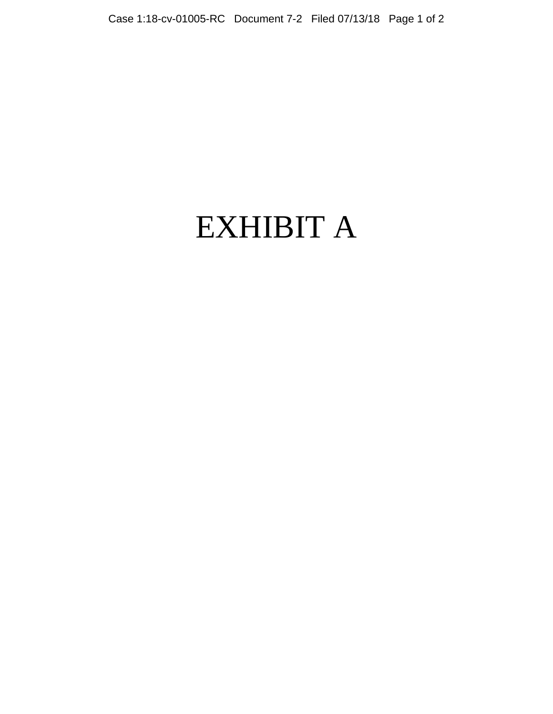# EXHIBIT A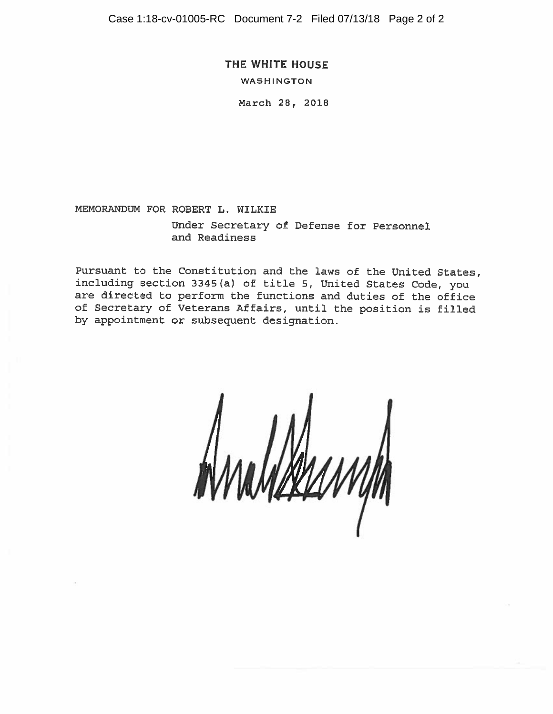Case 1:18-cv-01005-RC Document 7-2 Filed 07/13/18 Page 2 of 2

THE WHITE HOUSE

**WASHINGTON** 

March 28, 2018

MEMORANDUM FOR ROBERT L. WILKIE

Under Secretary of Defense for Personnel and Readiness

Pursuant to the Constitution and the laws of the United States, including section 3345(a) of title 5, United States Code, you are directed to perform the functions and duties of the office of Secretary of Veterans Affairs, until the position is filled by appointment or subsequent designation.

<u>IXYANNIN</u>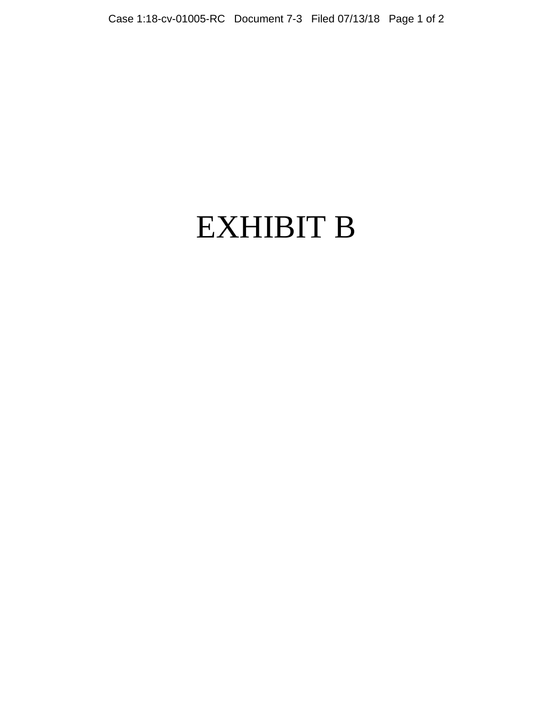# EXHIBIT B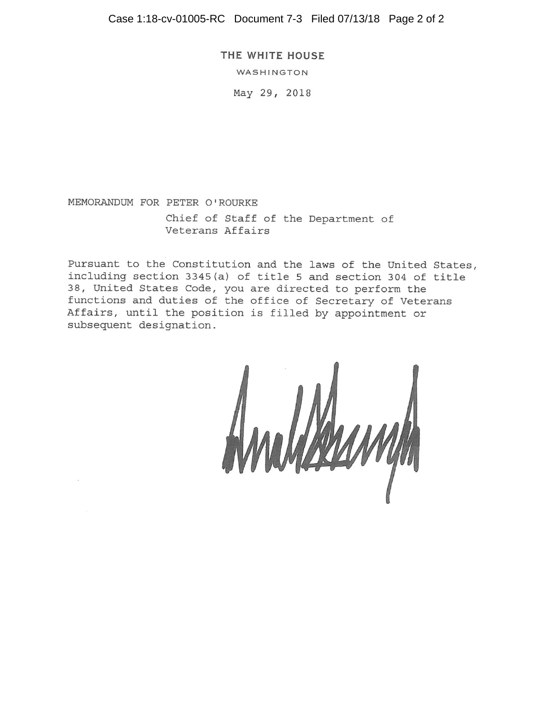Case 1:18-cv-01005-RC Document 7-3 Filed 07/13/18 Page 2 of 2

THE WHITE HOUSE

WASHINGTON

May 29, 2018

MEMORANDUM FOR PETER O'ROURKE Chief of Staff of the Department of Veterans Affairs

Pursuant to the Constitution and the laws of the United States, including section 3345(a) of title 5 and section 304 of title 38, United States Code, you are directed to perform the functions and duties of the office of Secretary of Veterans Affairs, until the position is filled by appointment or subsequent designation.

VALAMAN